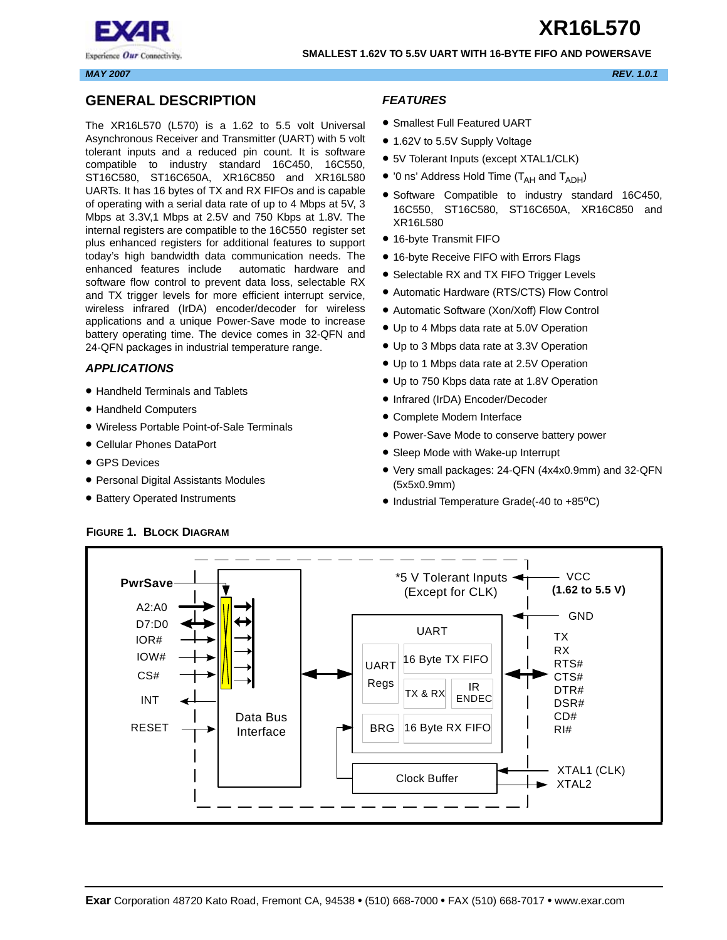

#### **SMALLEST 1.62V TO 5.5V UART WITH 16-BYTE FIFO AND POWERSAVE**

*MAY 2007 REV. 1.0.1*

## <span id="page-0-0"></span>**GENERAL DESCRIPTION**

The XR16L570 (L570) is a 1.62 to 5.5 volt Universal Asynchronous Receiver and Transmitter (UART) with 5 volt tolerant inputs and a reduced pin count. It is software compatible to industry standard 16C450, 16C550, ST16C580, ST16C650A, XR16C850 and XR16L580 UARTs. It has 16 bytes of TX and RX FIFOs and is capable of operating with a serial data rate of up to 4 Mbps at 5V, 3 Mbps at 3.3V,1 Mbps at 2.5V and 750 Kbps at 1.8V. The internal registers are compatible to the 16C550 register set plus enhanced registers for additional features to support today's high bandwidth data communication needs. The enhanced features include automatic hardware and software flow control to prevent data loss, selectable RX and TX trigger levels for more efficient interrupt service, wireless infrared (IrDA) encoder/decoder for wireless applications and a unique Power-Save mode to increase battery operating time. The device comes in 32-QFN and 24-QFN packages in industrial temperature range.

## <span id="page-0-1"></span>*APPLICATIONS*

- Handheld Terminals and Tablets
- Handheld Computers
- Wireless Portable Point-of-Sale Terminals
- Cellular Phones DataPort
- GPS Devices
- Personal Digital Assistants Modules
- Battery Operated Instruments

## <span id="page-0-2"></span>*FEATURES*

- Smallest Full Featured UART
- 1.62V to 5.5V Supply Voltage
- 5V Tolerant Inputs (except XTAL1/CLK)
- '0 ns' Address Hold Time ( $T_{AH}$  and  $T_{ADH}$ )
- Software Compatible to industry standard 16C450, 16C550, ST16C580, ST16C650A, XR16C850 and XR16L580
- 16-byte Transmit FIFO
- 16-byte Receive FIFO with Errors Flags
- Selectable RX and TX FIFO Trigger Levels
- Automatic Hardware (RTS/CTS) Flow Control
- Automatic Software (Xon/Xoff) Flow Control
- Up to 4 Mbps data rate at 5.0V Operation
- Up to 3 Mbps data rate at 3.3V Operation
- Up to 1 Mbps data rate at 2.5V Operation
- Up to 750 Kbps data rate at 1.8V Operation
- Infrared (IrDA) Encoder/Decoder
- Complete Modem Interface
- Power-Save Mode to conserve battery power
- Sleep Mode with Wake-up Interrupt
- Very small packages: 24-QFN (4x4x0.9mm) and 32-QFN (5x5x0.9mm)
- Industrial Temperature Grade(-40 to +85°C)



## <span id="page-0-3"></span>**FIGURE 1. BLOCK DIAGRAM**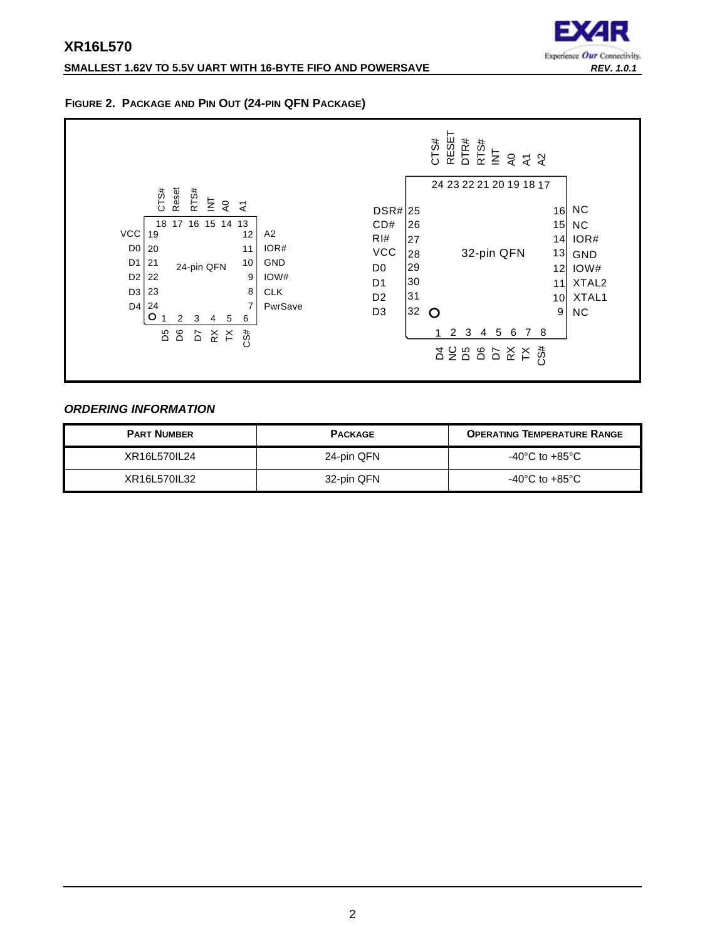## **SMALLEST 1.62V TO 5.5V UART WITH 16-BYTE FIFO AND POWERSAVE** *REV. 1.0.1*



## <span id="page-1-0"></span>**FIGURE 2. PACKAGE AND PIN OUT (24-PIN QFN PACKAGE)**



## <span id="page-1-1"></span>*ORDERING INFORMATION*

| <b>PART NUMBER</b> | <b>PACKAGE</b> | <b>OPERATING TEMPERATURE RANGE</b>   |
|--------------------|----------------|--------------------------------------|
| XR16L570IL24       | 24-pin QFN     | -40 $^{\circ}$ C to +85 $^{\circ}$ C |
| XR16L570IL32       | 32-pin QFN     | $-40^{\circ}$ C to $+85^{\circ}$ C   |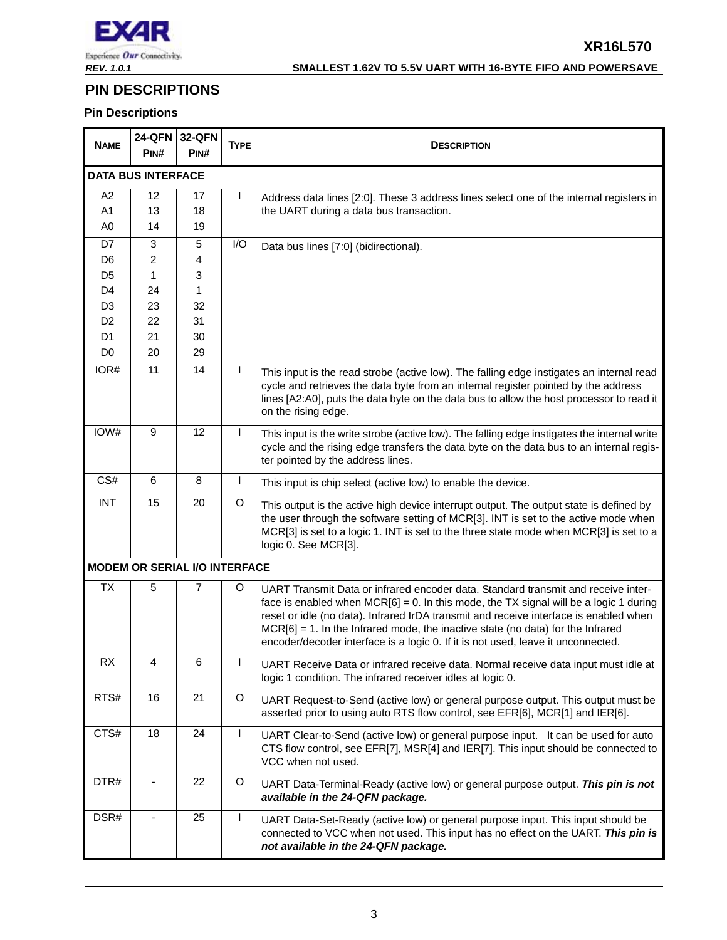

## *REV. 1.0.1* **SMALLEST 1.62V TO 5.5V UART WITH 16-BYTE FIFO AND POWERSAVE**

## <span id="page-2-0"></span>**PIN DESCRIPTIONS**

## **Pin Descriptions**

| <b>NAME</b>    | <b>24-QFN</b><br>PINH                | <b>32-QFN</b><br>PINH | <b>TYPE</b> | <b>DESCRIPTION</b>                                                                                                                                                                                                                                                                                                                                                                                                                               |  |  |
|----------------|--------------------------------------|-----------------------|-------------|--------------------------------------------------------------------------------------------------------------------------------------------------------------------------------------------------------------------------------------------------------------------------------------------------------------------------------------------------------------------------------------------------------------------------------------------------|--|--|
|                | <b>DATA BUS INTERFACE</b>            |                       |             |                                                                                                                                                                                                                                                                                                                                                                                                                                                  |  |  |
| A2             | 12                                   | 17                    |             | Address data lines [2:0]. These 3 address lines select one of the internal registers in                                                                                                                                                                                                                                                                                                                                                          |  |  |
| A1             | 13                                   | 18                    |             | the UART during a data bus transaction.                                                                                                                                                                                                                                                                                                                                                                                                          |  |  |
| A <sub>0</sub> | 14                                   | 19                    |             |                                                                                                                                                                                                                                                                                                                                                                                                                                                  |  |  |
| D7             | 3                                    | 5                     | I/O         | Data bus lines [7:0] (bidirectional).                                                                                                                                                                                                                                                                                                                                                                                                            |  |  |
| D <sub>6</sub> | $\overline{c}$                       | 4                     |             |                                                                                                                                                                                                                                                                                                                                                                                                                                                  |  |  |
| D <sub>5</sub> | 1                                    | 3                     |             |                                                                                                                                                                                                                                                                                                                                                                                                                                                  |  |  |
| D <sub>4</sub> | 24                                   | 1                     |             |                                                                                                                                                                                                                                                                                                                                                                                                                                                  |  |  |
| D <sub>3</sub> | 23                                   | 32                    |             |                                                                                                                                                                                                                                                                                                                                                                                                                                                  |  |  |
| D <sub>2</sub> | 22                                   | 31                    |             |                                                                                                                                                                                                                                                                                                                                                                                                                                                  |  |  |
| D <sub>1</sub> | 21                                   | 30                    |             |                                                                                                                                                                                                                                                                                                                                                                                                                                                  |  |  |
| D <sub>0</sub> | 20                                   | 29                    |             |                                                                                                                                                                                                                                                                                                                                                                                                                                                  |  |  |
| IOR#           | 11                                   | 14                    |             | This input is the read strobe (active low). The falling edge instigates an internal read<br>cycle and retrieves the data byte from an internal register pointed by the address<br>lines [A2:A0], puts the data byte on the data bus to allow the host processor to read it<br>on the rising edge.                                                                                                                                                |  |  |
| IOW#           | 9                                    | 12                    | L           | This input is the write strobe (active low). The falling edge instigates the internal write<br>cycle and the rising edge transfers the data byte on the data bus to an internal regis-<br>ter pointed by the address lines.                                                                                                                                                                                                                      |  |  |
| CS#            | $\,6$                                | 8                     |             | This input is chip select (active low) to enable the device.                                                                                                                                                                                                                                                                                                                                                                                     |  |  |
| <b>INT</b>     | 15                                   | 20                    | O           | This output is the active high device interrupt output. The output state is defined by<br>the user through the software setting of MCR[3]. INT is set to the active mode when<br>MCR[3] is set to a logic 1. INT is set to the three state mode when MCR[3] is set to a<br>logic 0. See MCR[3].                                                                                                                                                  |  |  |
|                | <b>MODEM OR SERIAL I/O INTERFACE</b> |                       |             |                                                                                                                                                                                                                                                                                                                                                                                                                                                  |  |  |
| <b>TX</b>      | 5                                    | 7                     | O           | UART Transmit Data or infrared encoder data. Standard transmit and receive inter-<br>face is enabled when $MCR[6] = 0$ . In this mode, the TX signal will be a logic 1 during<br>reset or idle (no data). Infrared IrDA transmit and receive interface is enabled when<br>$MCR[6] = 1$ . In the Infrared mode, the inactive state (no data) for the Infrared<br>encoder/decoder interface is a logic 0. If it is not used, leave it unconnected. |  |  |
| RX             | Δ                                    | 6                     |             | UART Receive Data or infrared receive data. Normal receive data input must idle at<br>logic 1 condition. The infrared receiver idles at logic 0.                                                                                                                                                                                                                                                                                                 |  |  |
| RTS#           | 16                                   | 21                    | $\circ$     | UART Request-to-Send (active low) or general purpose output. This output must be<br>asserted prior to using auto RTS flow control, see EFR[6], MCR[1] and IER[6].                                                                                                                                                                                                                                                                                |  |  |
| CTS#           | 18                                   | 24                    | L           | UART Clear-to-Send (active low) or general purpose input. It can be used for auto<br>CTS flow control, see EFR[7], MSR[4] and IER[7]. This input should be connected to<br>VCC when not used.                                                                                                                                                                                                                                                    |  |  |
| DTR#           | $\qquad \qquad \blacksquare$         | 22                    | O           | UART Data-Terminal-Ready (active low) or general purpose output. This pin is not<br>available in the 24-QFN package.                                                                                                                                                                                                                                                                                                                             |  |  |
| DSR#           |                                      | 25                    | T           | UART Data-Set-Ready (active low) or general purpose input. This input should be<br>connected to VCC when not used. This input has no effect on the UART. This pin is<br>not available in the 24-QFN package.                                                                                                                                                                                                                                     |  |  |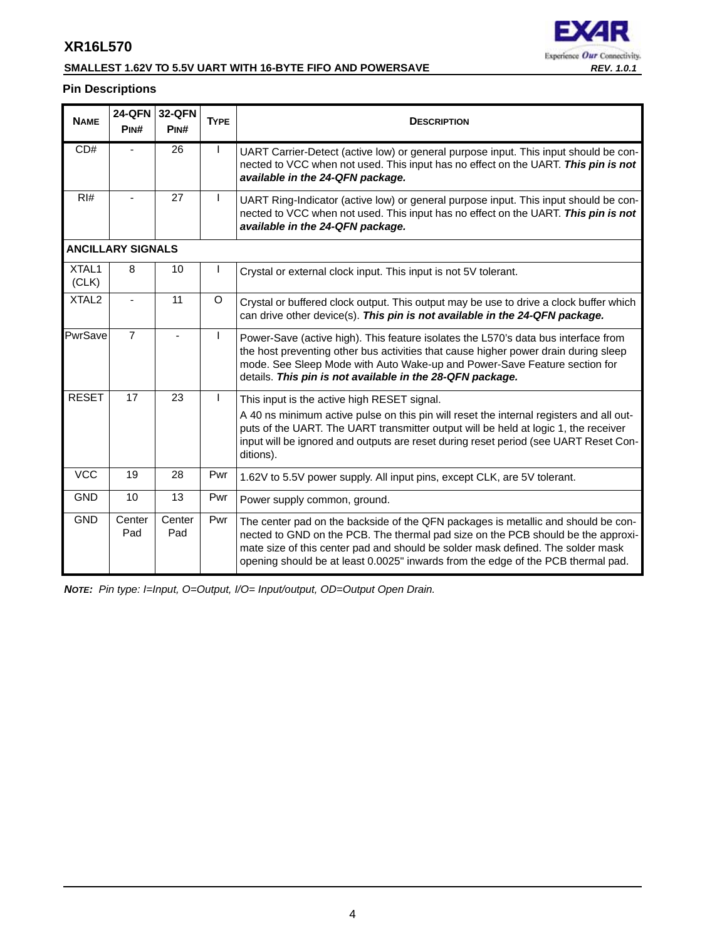

## **SMALLEST 1.62V TO 5.5V UART WITH 16-BYTE FIFO AND POWERSAVE** *REV. 1.0.1*

## **Pin Descriptions**

| <b>NAME</b>       | 24-QFN<br>PIN#           | 32-QFN<br>PIN# | <b>TYPE</b> | <b>DESCRIPTION</b>                                                                                                                                                                                                                                                                                                                           |
|-------------------|--------------------------|----------------|-------------|----------------------------------------------------------------------------------------------------------------------------------------------------------------------------------------------------------------------------------------------------------------------------------------------------------------------------------------------|
| CD#               |                          | 26             |             | UART Carrier-Detect (active low) or general purpose input. This input should be con-<br>nected to VCC when not used. This input has no effect on the UART. This pin is not<br>available in the 24-QFN package.                                                                                                                               |
| RI#               |                          | 27             | L           | UART Ring-Indicator (active low) or general purpose input. This input should be con-<br>nected to VCC when not used. This input has no effect on the UART. This pin is not<br>available in the 24-QFN package.                                                                                                                               |
|                   | <b>ANCILLARY SIGNALS</b> |                |             |                                                                                                                                                                                                                                                                                                                                              |
| XTAL1<br>(CLK)    | 8                        | 10             |             | Crystal or external clock input. This input is not 5V tolerant.                                                                                                                                                                                                                                                                              |
| XTAL <sub>2</sub> |                          | 11             | O           | Crystal or buffered clock output. This output may be use to drive a clock buffer which<br>can drive other device(s). This pin is not available in the 24-QFN package.                                                                                                                                                                        |
| PwrSave           | $\overline{7}$           |                |             | Power-Save (active high). This feature isolates the L570's data bus interface from<br>the host preventing other bus activities that cause higher power drain during sleep<br>mode. See Sleep Mode with Auto Wake-up and Power-Save Feature section for<br>details. This pin is not available in the 28-QFN package.                          |
| <b>RESET</b>      | 17                       | 23             | L           | This input is the active high RESET signal.<br>A 40 ns minimum active pulse on this pin will reset the internal registers and all out-<br>puts of the UART. The UART transmitter output will be held at logic 1, the receiver<br>input will be ignored and outputs are reset during reset period (see UART Reset Con-<br>ditions).           |
| <b>VCC</b>        | 19                       | 28             | Pwr         | 1.62V to 5.5V power supply. All input pins, except CLK, are 5V tolerant.                                                                                                                                                                                                                                                                     |
| <b>GND</b>        | 10                       | 13             | Pwr         | Power supply common, ground.                                                                                                                                                                                                                                                                                                                 |
| <b>GND</b>        | Center<br>Pad            | Center<br>Pad  | Pwr         | The center pad on the backside of the QFN packages is metallic and should be con-<br>nected to GND on the PCB. The thermal pad size on the PCB should be the approxi-<br>mate size of this center pad and should be solder mask defined. The solder mask<br>opening should be at least 0.0025" inwards from the edge of the PCB thermal pad. |

*NOTE: Pin type: I=Input, O=Output, I/O= Input/output, OD=Output Open Drain.*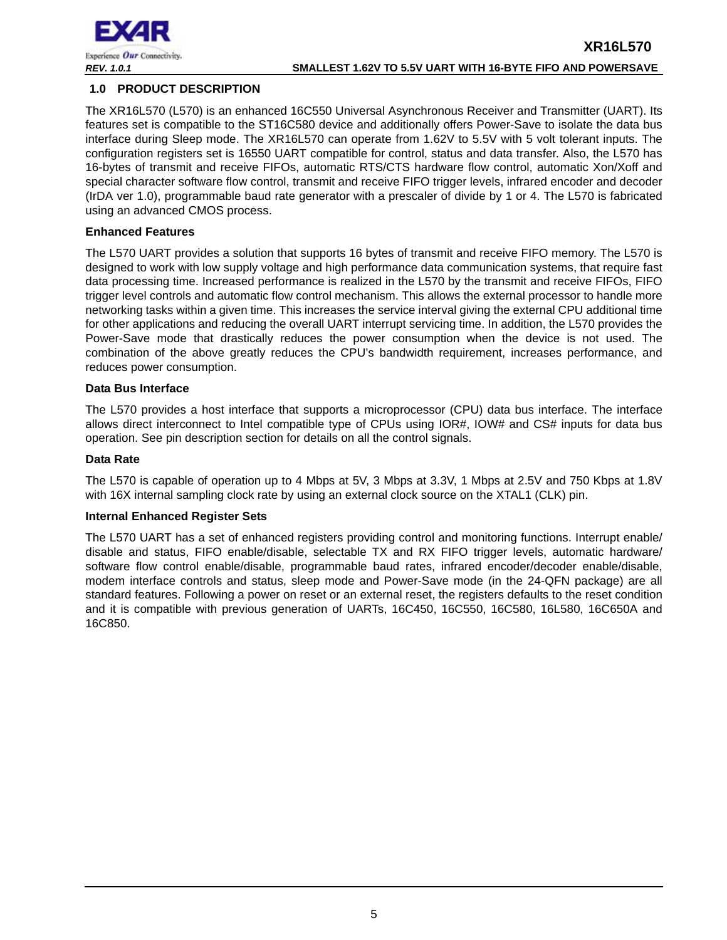

## <span id="page-4-0"></span>**1.0 PRODUCT DESCRIPTION**

The XR16L570 (L570) is an enhanced 16C550 Universal Asynchronous Receiver and Transmitter (UART). Its features set is compatible to the ST16C580 device and additionally offers Power-Save to isolate the data bus interface during Sleep mode. The XR16L570 can operate from 1.62V to 5.5V with 5 volt tolerant inputs. The configuration registers set is 16550 UART compatible for control, status and data transfer. Also, the L570 has 16-bytes of transmit and receive FIFOs, automatic RTS/CTS hardware flow control, automatic Xon/Xoff and special character software flow control, transmit and receive FIFO trigger levels, infrared encoder and decoder (IrDA ver 1.0), programmable baud rate generator with a prescaler of divide by 1 or 4. The L570 is fabricated using an advanced CMOS process.

## **Enhanced Features**

The L570 UART provides a solution that supports 16 bytes of transmit and receive FIFO memory. The L570 is designed to work with low supply voltage and high performance data communication systems, that require fast data processing time. Increased performance is realized in the L570 by the transmit and receive FIFOs, FIFO trigger level controls and automatic flow control mechanism. This allows the external processor to handle more networking tasks within a given time. This increases the service interval giving the external CPU additional time for other applications and reducing the overall UART interrupt servicing time. In addition, the L570 provides the Power-Save mode that drastically reduces the power consumption when the device is not used. The combination of the above greatly reduces the CPU's bandwidth requirement, increases performance, and reduces power consumption.

## **Data Bus Interface**

The L570 provides a host interface that supports a microprocessor (CPU) data bus interface. The interface allows direct interconnect to Intel compatible type of CPUs using IOR#, IOW# and CS# inputs for data bus operation. See pin description section for details on all the control signals.

## **Data Rate**

The L570 is capable of operation up to 4 Mbps at 5V, 3 Mbps at 3.3V, 1 Mbps at 2.5V and 750 Kbps at 1.8V with 16X internal sampling clock rate by using an external clock source on the XTAL1 (CLK) pin.

## **Internal Enhanced Register Sets**

The L570 UART has a set of enhanced registers providing control and monitoring functions. Interrupt enable/ disable and status, FIFO enable/disable, selectable TX and RX FIFO trigger levels, automatic hardware/ software flow control enable/disable, programmable baud rates, infrared encoder/decoder enable/disable, modem interface controls and status, sleep mode and Power-Save mode (in the 24-QFN package) are all standard features. Following a power on reset or an external reset, the registers defaults to the reset condition and it is compatible with previous generation of UARTs, 16C450, 16C550, 16C580, 16L580, 16C650A and 16C850.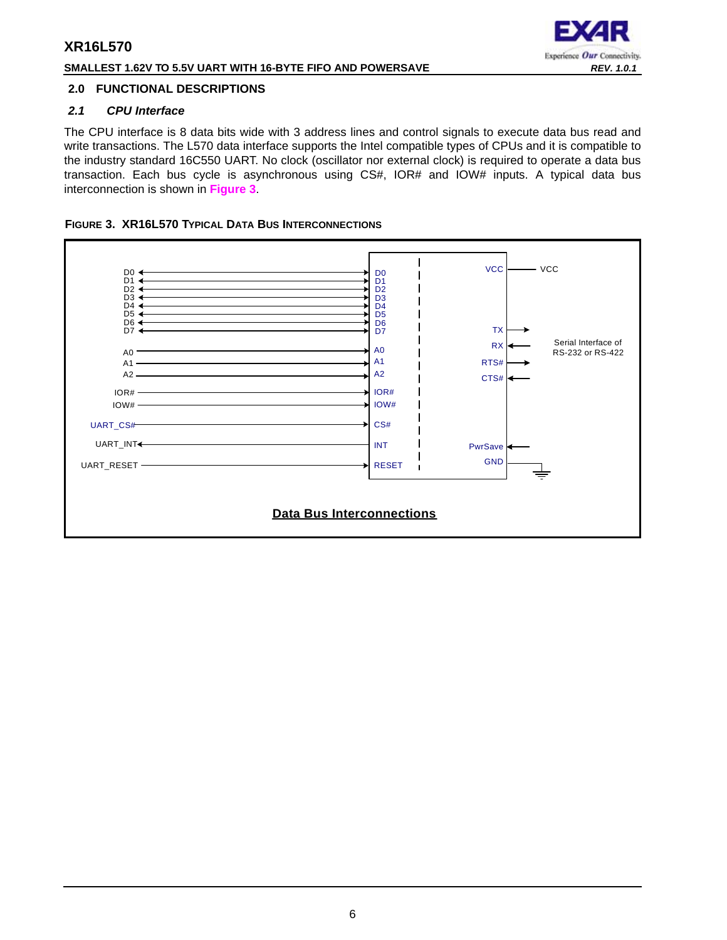## **SMALLEST 1.62V TO 5.5V UART WITH 16-BYTE FIFO AND POWERSAVE** *REV. 1.0.1*



## <span id="page-5-1"></span>**2.0 FUNCTIONAL DESCRIPTIONS**

## <span id="page-5-2"></span>*2.1 CPU Interface*

The CPU interface is 8 data bits wide with 3 address lines and control signals to execute data bus read and write transactions. The L570 data interface supports the Intel compatible types of CPUs and it is compatible to the industry standard 16C550 UART. No clock (oscillator nor external clock) is required to operate a data bus transaction. Each bus cycle is asynchronous using CS#, IOR# and IOW# inputs. A typical data bus interconnection is shown in **[Figure](#page-5-0) 3**.

## <span id="page-5-0"></span>**FIGURE 3. XR16L570 TYPICAL DATA BUS INTERCONNECTIONS**

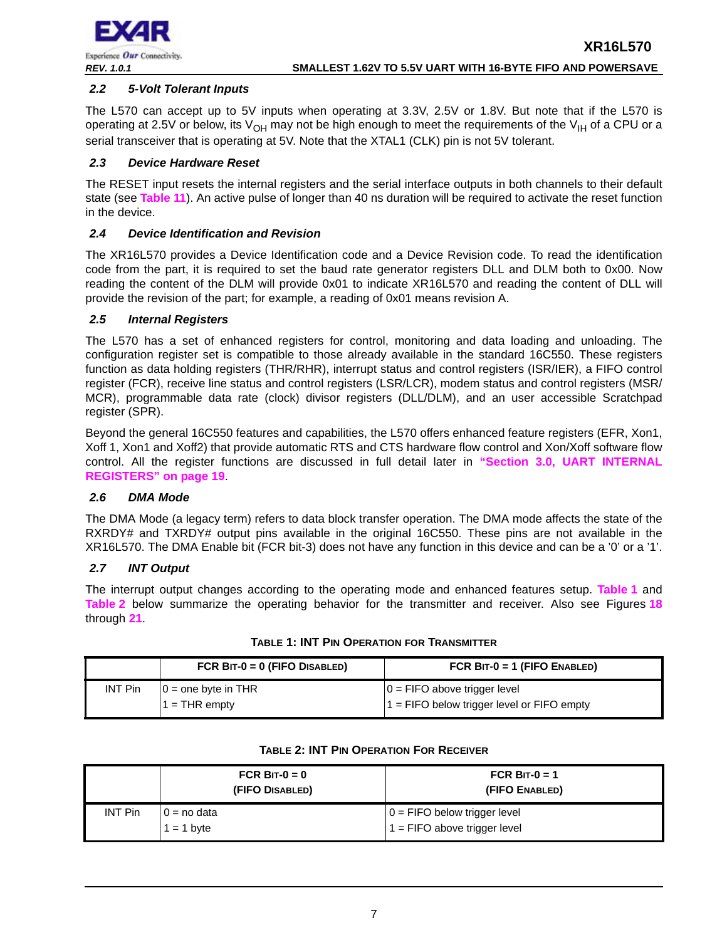

## <span id="page-6-2"></span>*2.2 5-Volt Tolerant Inputs*

The L570 can accept up to 5V inputs when operating at 3.3V, 2.5V or 1.8V. But note that if the L570 is operating at 2.5V or below, its  $V_{OH}$  may not be high enough to meet the requirements of the V<sub>IH</sub> of a CPU or a serial transceiver that is operating at 5V. Note that the XTAL1 (CLK) pin is not 5V tolerant.

## <span id="page-6-3"></span>*2.3 Device Hardware Reset*

The RESET input resets the internal registers and the serial interface outputs in both channels to their default state (see **[Table](#page-33-0) 11**). An active pulse of longer than 40 ns duration will be required to activate the reset function in the device.

## <span id="page-6-4"></span>*2.4 Device Identification and Revision*

The XR16L570 provides a Device Identification code and a Device Revision code. To read the identification code from the part, it is required to set the baud rate generator registers DLL and DLM both to 0x00. Now reading the content of the DLM will provide 0x01 to indicate XR16L570 and reading the content of DLL will provide the revision of the part; for example, a reading of 0x01 means revision A.

## <span id="page-6-5"></span>*2.5 Internal Registers*

The L570 has a set of enhanced registers for control, monitoring and data loading and unloading. The configuration register set is compatible to those already available in the standard 16C550. These registers function as data holding registers (THR/RHR), interrupt status and control registers (ISR/IER), a FIFO control register (FCR), receive line status and control registers (LSR/LCR), modem status and control registers (MSR/ MCR), programmable data rate (clock) divisor registers (DLL/DLM), and an user accessible Scratchpad register (SPR).

Beyond the general 16C550 features and capabilities, the L570 offers enhanced feature registers (EFR, Xon1, Xoff 1, Xon1 and Xoff2) that provide automatic RTS and CTS hardware flow control and Xon/Xoff software flow control. All the register functions are discussed in full detail later in **["Section 3.0, UART INTERNAL](#page-18-0)  [REGISTERS" on page](#page-18-0) 19**.

## <span id="page-6-6"></span>*2.6 DMA Mode*

The DMA Mode (a legacy term) refers to data block transfer operation. The DMA mode affects the state of the RXRDY# and TXRDY# output pins available in the original 16C550. These pins are not available in the XR16L570. The DMA Enable bit (FCR bit-3) does not have any function in this device and can be a '0' or a '1'.

## <span id="page-6-7"></span>*2.7 INT Output*

The interrupt output changes according to the operating mode and enhanced features setup. **[Table](#page-6-0) 1** and **[Table](#page-6-1) 2** below summarize the operating behavior for the transmitter and receiver. Also see Figures **[18](#page-40-0)** through **[21](#page-41-0)**.

<span id="page-6-0"></span>

|                | FCR $BIT-0 = 0$ (FIFO DISABLED)        | FCR $BIT-0 = 1$ (FIFO ENABLED)                                                |
|----------------|----------------------------------------|-------------------------------------------------------------------------------|
| <b>INT Pin</b> | $0 =$ one byte in THR<br>$=$ THR empty | $0 =$ FIFO above trigger level<br>'1 = FIFO below trigger level or FIFO empty |

## **TABLE 1: INT PIN OPERATION FOR TRANSMITTER**

<span id="page-6-1"></span>

|                | FCR BIT- $0 = 0$<br>(FIFO DISABLED) | FCR BIT-0 = 1<br>(FIFO ENABLED)                                  |
|----------------|-------------------------------------|------------------------------------------------------------------|
| <b>INT Pin</b> | $0 = no data$<br>$1 = 1$ byte       | $0 =$ FIFO below trigger level<br>$1 =$ FIFO above trigger level |

#### **TABLE 2: INT PIN OPERATION FOR RECEIVER**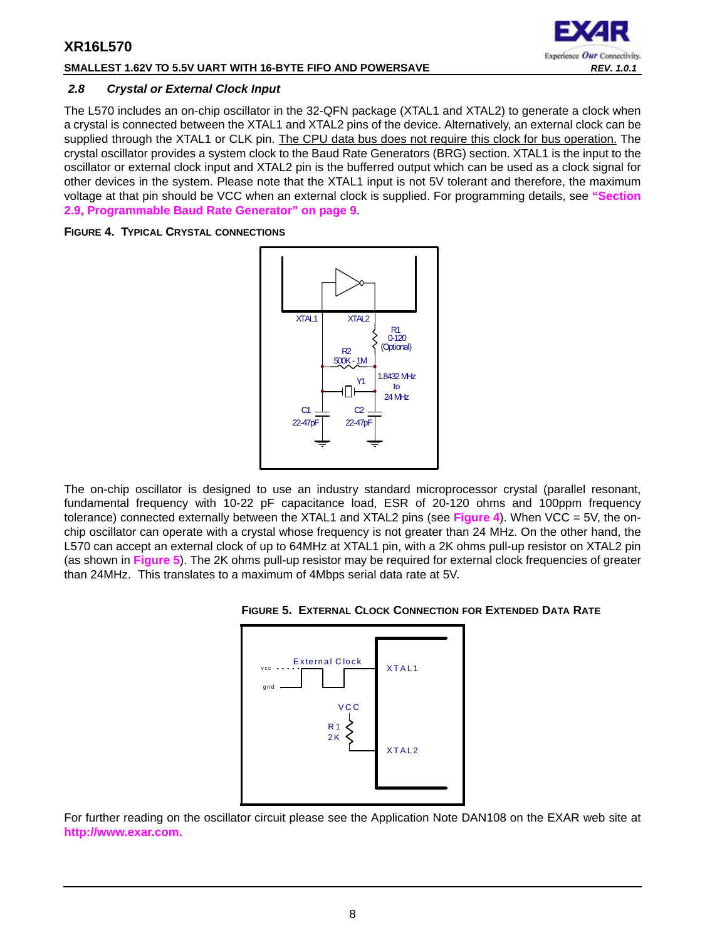## **SMALLEST 1.62V TO 5.5V UART WITH 16-BYTE FIFO AND POWERSAVE** *REV. 1.0.1*

# Experience Our Connectivity.

## <span id="page-7-2"></span>*2.8 Crystal or External Clock Input*

The L570 includes an on-chip oscillator in the 32-QFN package (XTAL1 and XTAL2) to generate a clock when a crystal is connected between the XTAL1 and XTAL2 pins of the device. Alternatively, an external clock can be supplied through the XTAL1 or CLK pin. The CPU data bus does not require this clock for bus operation. The crystal oscillator provides a system clock to the Baud Rate Generators (BRG) section. XTAL1 is the input to the oscillator or external clock input and XTAL2 pin is the bufferred output which can be used as a clock signal for other devices in the system. Please note that the XTAL1 input is not 5V tolerant and therefore, the maximum voltage at that pin should be VCC when an external clock is supplied. For programming details, see **["Section](#page-8-0)  [2.9, Programmable Baud Rate Generator" on page](#page-8-0) 9**.

## <span id="page-7-1"></span>**FIGURE 4. TYPICAL CRYSTAL CONNECTIONS**



The on-chip oscillator is designed to use an industry standard microprocessor crystal (parallel resonant, fundamental frequency with 10-22 pF capacitance load, ESR of 20-120 ohms and 100ppm frequency tolerance) connected externally between the XTAL1 and XTAL2 pins (see **[Figure](#page-7-1) 4**). When VCC = 5V, the onchip oscillator can operate with a crystal whose frequency is not greater than 24 MHz. On the other hand, the L570 can accept an external clock of up to 64MHz at XTAL1 pin, with a 2K ohms pull-up resistor on XTAL2 pin (as shown in **[Figure](#page-7-0) 5**). The 2K ohms pull-up resistor may be required for external clock frequencies of greater than 24MHz. This translates to a maximum of 4Mbps serial data rate at 5V.

<span id="page-7-0"></span>



For further reading on the oscillator circuit please see the Application Note DAN108 on the EXAR web site at **[http://www.exar.com.](http://exar.com)**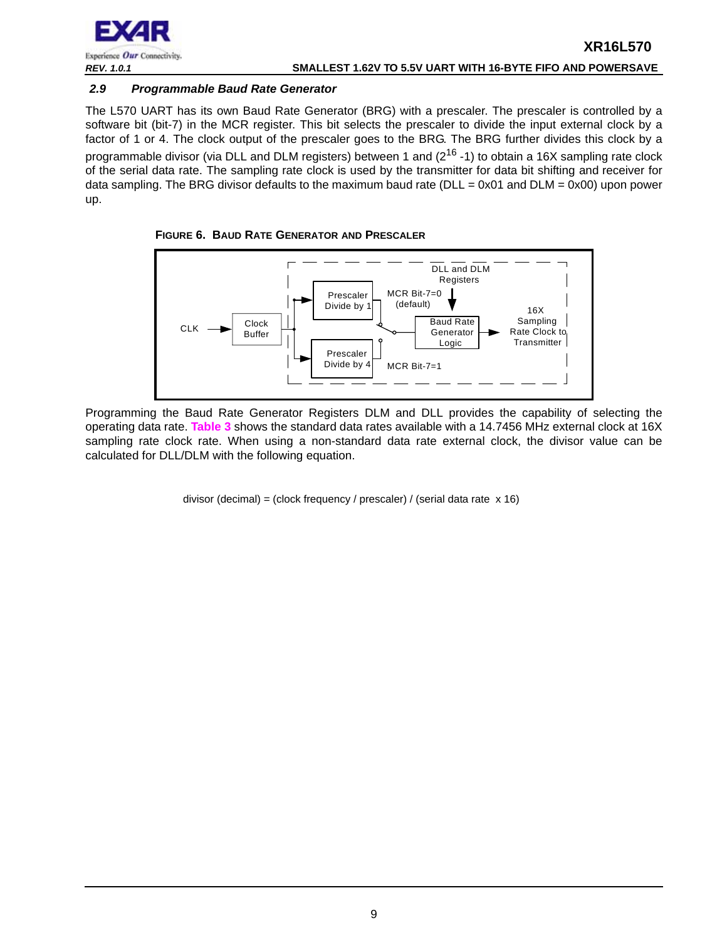

## <span id="page-8-0"></span>*2.9 Programmable Baud Rate Generator*

The L570 UART has its own Baud Rate Generator (BRG) with a prescaler. The prescaler is controlled by a software bit (bit-7) in the MCR register. This bit selects the prescaler to divide the input external clock by a factor of 1 or 4. The clock output of the prescaler goes to the BRG. The BRG further divides this clock by a programmable divisor (via DLL and DLM registers) between 1 and  $(2^{16} - 1)$  to obtain a 16X sampling rate clock of the serial data rate. The sampling rate clock is used by the transmitter for data bit shifting and receiver for data sampling. The BRG divisor defaults to the maximum baud rate ( $DLL = 0x01$  and  $DLM = 0x00$ ) upon power up.

<span id="page-8-1"></span>



Programming the Baud Rate Generator Registers DLM and DLL provides the capability of selecting the operating data rate. **[Table](#page-9-0) 3** shows the standard data rates available with a 14.7456 MHz external clock at 16X sampling rate clock rate. When using a non-standard data rate external clock, the divisor value can be calculated for DLL/DLM with the following equation.

divisor (decimal) = (clock frequency / prescaler) / (serial data rate x 16)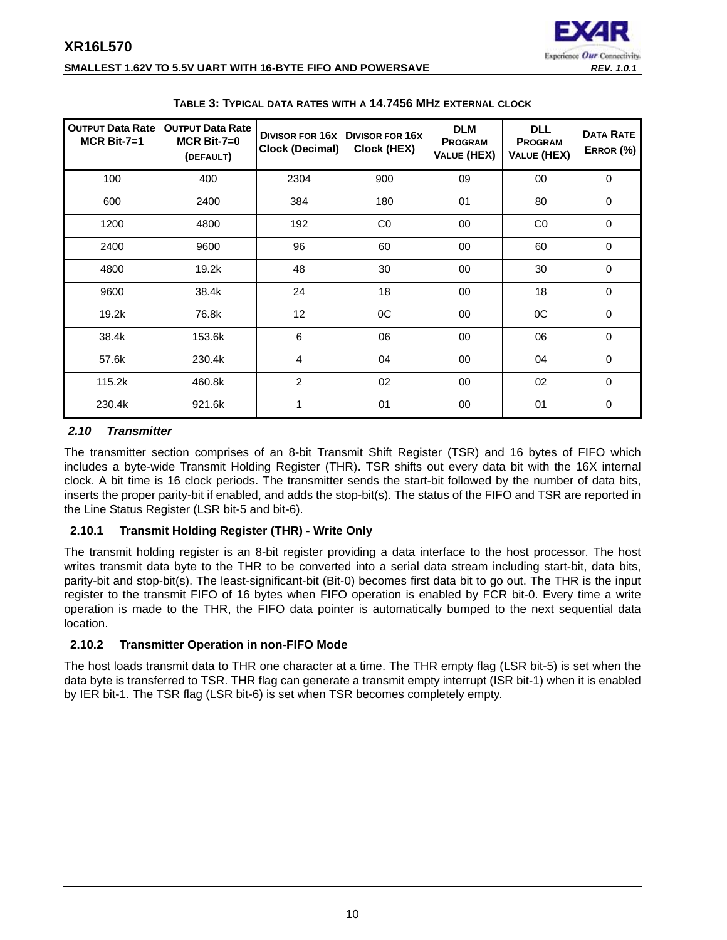

## **SMALLEST 1.62V TO 5.5V UART WITH 16-BYTE FIFO AND POWERSAVE** *REV. 1.0.1*

<span id="page-9-0"></span>

| <b>OUTPUT Data Rate</b><br>$MCR$ Bit-7=1 | <b>OUTPUT Data Rate</b><br>$MCR$ Bit-7=0<br>(DEFAULT) | <b>DIVISOR FOR 16x</b><br><b>Clock (Decimal)</b> | <b>DIVISOR FOR 16X</b><br>Clock (HEX) | <b>DLM</b><br><b>PROGRAM</b><br>VALUE (HEX) | <b>DLL</b><br><b>PROGRAM</b><br>VALUE (HEX) | <b>DATA RATE</b><br>ERROR (%) |
|------------------------------------------|-------------------------------------------------------|--------------------------------------------------|---------------------------------------|---------------------------------------------|---------------------------------------------|-------------------------------|
| 100                                      | 400                                                   | 2304                                             | 900                                   | 09                                          | 00                                          | 0                             |
| 600                                      | 2400                                                  | 384                                              | 180                                   | 01                                          | 80                                          | 0                             |
| 1200                                     | 4800                                                  | 192                                              | CO <sub>2</sub>                       | 00                                          | CO                                          | $\Omega$                      |
| 2400                                     | 9600                                                  | 96                                               | 60                                    | 00                                          | 60                                          | 0                             |
| 4800                                     | 19.2k                                                 | 48                                               | 30                                    | 00                                          | 30                                          | 0                             |
| 9600                                     | 38.4k                                                 | 24                                               | 18                                    | 00                                          | 18                                          | 0                             |
| 19.2k                                    | 76.8k                                                 | 12                                               | 0C                                    | 00                                          | 0C                                          | $\Omega$                      |
| 38.4k                                    | 153.6k                                                | 6                                                | 06                                    | 00                                          | 06                                          | $\Omega$                      |
| 57.6k                                    | 230.4k                                                | 4                                                | 04                                    | 00                                          | 04                                          | 0                             |
| 115.2k                                   | 460.8k                                                | 2                                                | 02                                    | 00                                          | 02                                          | 0                             |
| 230.4k                                   | 921.6k                                                | 1                                                | 01                                    | 00                                          | 01                                          | 0                             |

#### **TABLE 3: TYPICAL DATA RATES WITH A 14.7456 MHZ EXTERNAL CLOCK**

## <span id="page-9-1"></span>*2.10 Transmitter*

The transmitter section comprises of an 8-bit Transmit Shift Register (TSR) and 16 bytes of FIFO which includes a byte-wide Transmit Holding Register (THR). TSR shifts out every data bit with the 16X internal clock. A bit time is 16 clock periods. The transmitter sends the start-bit followed by the number of data bits, inserts the proper parity-bit if enabled, and adds the stop-bit(s). The status of the FIFO and TSR are reported in the Line Status Register (LSR bit-5 and bit-6).

## <span id="page-9-2"></span>**2.10.1 Transmit Holding Register (THR) - Write Only**

The transmit holding register is an 8-bit register providing a data interface to the host processor. The host writes transmit data byte to the THR to be converted into a serial data stream including start-bit, data bits, parity-bit and stop-bit(s). The least-significant-bit (Bit-0) becomes first data bit to go out. The THR is the input register to the transmit FIFO of 16 bytes when FIFO operation is enabled by FCR bit-0. Every time a write operation is made to the THR, the FIFO data pointer is automatically bumped to the next sequential data location.

## <span id="page-9-3"></span>**2.10.2 Transmitter Operation in non-FIFO Mode**

The host loads transmit data to THR one character at a time. The THR empty flag (LSR bit-5) is set when the data byte is transferred to TSR. THR flag can generate a transmit empty interrupt (ISR bit-1) when it is enabled by IER bit-1. The TSR flag (LSR bit-6) is set when TSR becomes completely empty.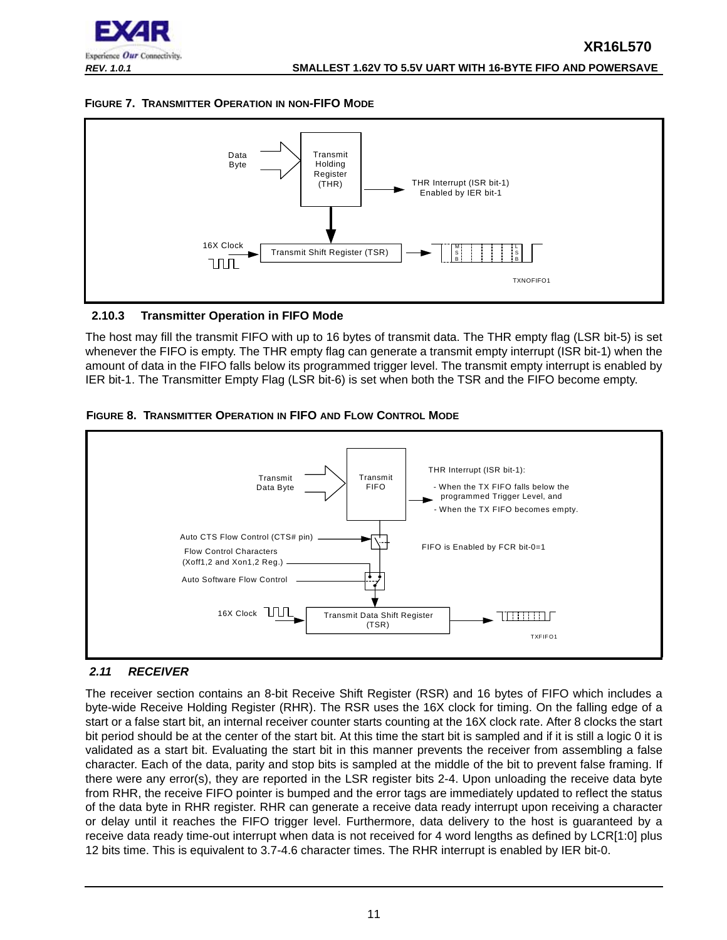

## <span id="page-10-1"></span>**FIGURE 7. TRANSMITTER OPERATION IN NON-FIFO MODE**



## <span id="page-10-2"></span>**2.10.3 Transmitter Operation in FIFO Mode**

The host may fill the transmit FIFO with up to 16 bytes of transmit data. The THR empty flag (LSR bit-5) is set whenever the FIFO is empty. The THR empty flag can generate a transmit empty interrupt (ISR bit-1) when the amount of data in the FIFO falls below its programmed trigger level. The transmit empty interrupt is enabled by IER bit-1. The Transmitter Empty Flag (LSR bit-6) is set when both the TSR and the FIFO become empty.

<span id="page-10-3"></span>



## <span id="page-10-0"></span>*2.11 RECEIVER*

The receiver section contains an 8-bit Receive Shift Register (RSR) and 16 bytes of FIFO which includes a byte-wide Receive Holding Register (RHR). The RSR uses the 16X clock for timing. On the falling edge of a start or a false start bit, an internal receiver counter starts counting at the 16X clock rate. After 8 clocks the start bit period should be at the center of the start bit. At this time the start bit is sampled and if it is still a logic 0 it is validated as a start bit. Evaluating the start bit in this manner prevents the receiver from assembling a false character. Each of the data, parity and stop bits is sampled at the middle of the bit to prevent false framing. If there were any error(s), they are reported in the LSR register bits 2-4. Upon unloading the receive data byte from RHR, the receive FIFO pointer is bumped and the error tags are immediately updated to reflect the status of the data byte in RHR register. RHR can generate a receive data ready interrupt upon receiving a character or delay until it reaches the FIFO trigger level. Furthermore, data delivery to the host is guaranteed by a receive data ready time-out interrupt when data is not received for 4 word lengths as defined by LCR[1:0] plus 12 bits time. This is equivalent to 3.7-4.6 character times. The RHR interrupt is enabled by IER bit-0.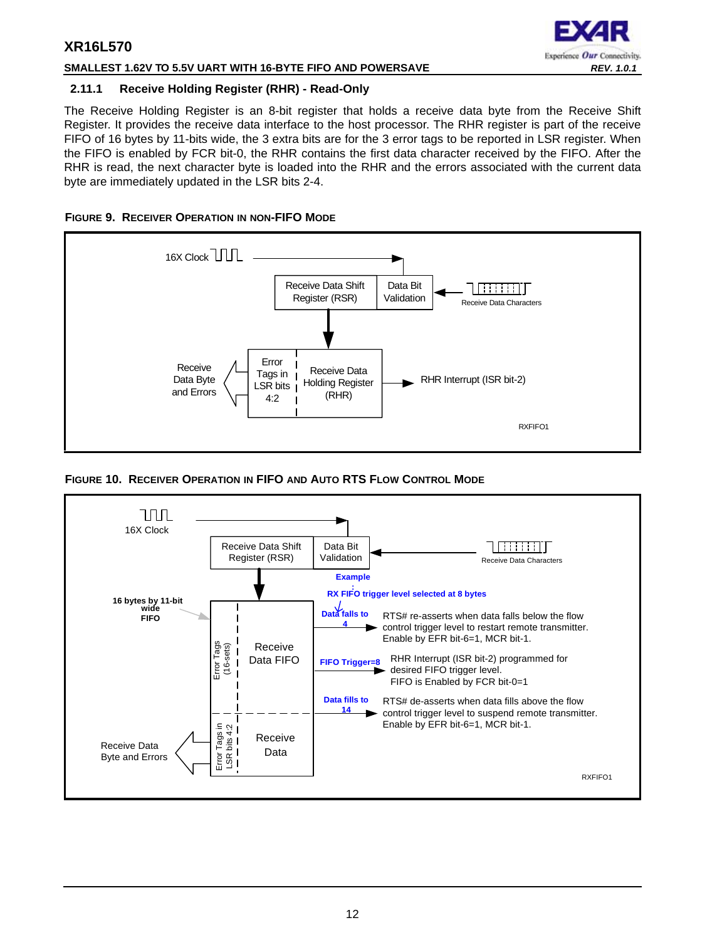## **SMALLEST 1.62V TO 5.5V UART WITH 16-BYTE FIFO AND POWERSAVE** *REV. 1.0.1*

## Experience Our Connectivity.

## <span id="page-11-0"></span>**2.11.1 Receive Holding Register (RHR) - Read-Only**

The Receive Holding Register is an 8-bit register that holds a receive data byte from the Receive Shift Register. It provides the receive data interface to the host processor. The RHR register is part of the receive FIFO of 16 bytes by 11-bits wide, the 3 extra bits are for the 3 error tags to be reported in LSR register. When the FIFO is enabled by FCR bit-0, the RHR contains the first data character received by the FIFO. After the RHR is read, the next character byte is loaded into the RHR and the errors associated with the current data byte are immediately updated in the LSR bits 2-4.

<span id="page-11-1"></span>



<span id="page-11-2"></span>**FIGURE 10. RECEIVER OPERATION IN FIFO AND AUTO RTS FLOW CONTROL MODE**

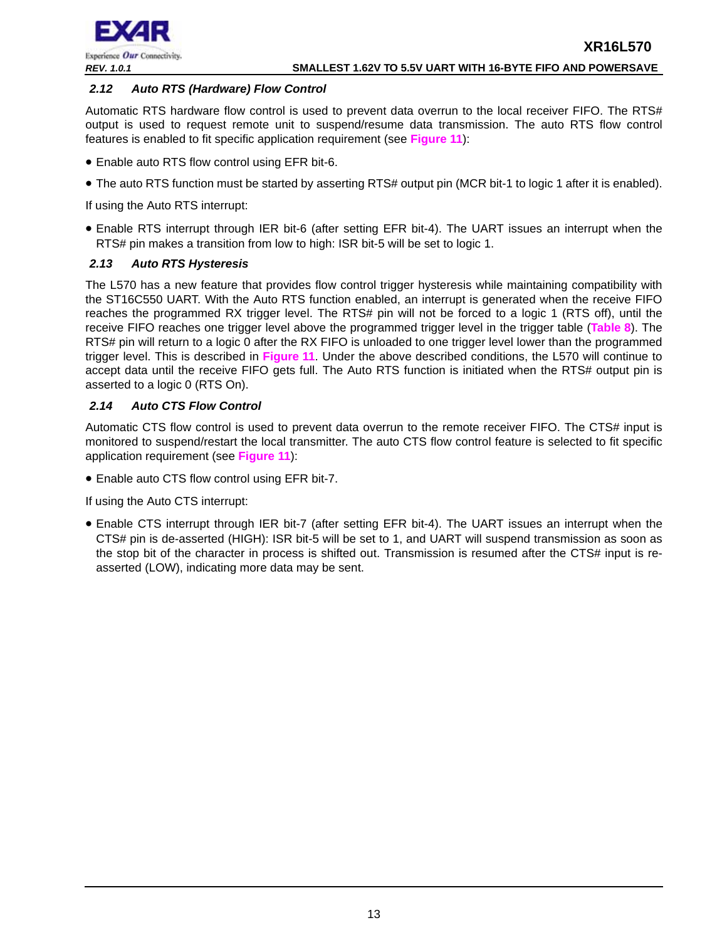

## <span id="page-12-0"></span>*2.12 Auto RTS (Hardware) Flow Control*

Automatic RTS hardware flow control is used to prevent data overrun to the local receiver FIFO. The RTS# output is used to request remote unit to suspend/resume data transmission. The auto RTS flow control features is enabled to fit specific application requirement (see **[Figure](#page-13-0) 11**):

- Enable auto RTS flow control using EFR bit-6.
- The auto RTS function must be started by asserting RTS# output pin (MCR bit-1 to logic 1 after it is enabled).

If using the Auto RTS interrupt:

• Enable RTS interrupt through IER bit-6 (after setting EFR bit-4). The UART issues an interrupt when the RTS# pin makes a transition from low to high: ISR bit-5 will be set to logic 1.

## <span id="page-12-1"></span>*2.13 Auto RTS Hysteresis*

The L570 has a new feature that provides flow control trigger hysteresis while maintaining compatibility with the ST16C550 UART. With the Auto RTS function enabled, an interrupt is generated when the receive FIFO reaches the programmed RX trigger level. The RTS# pin will not be forced to a logic 1 (RTS off), until the receive FIFO reaches one trigger level above the programmed trigger level in the trigger table (**[Table](#page-25-0) 8**). The RTS# pin will return to a logic 0 after the RX FIFO is unloaded to one trigger level lower than the programmed trigger level. This is described in **[Figure](#page-13-0) 11**. Under the above described conditions, the L570 will continue to accept data until the receive FIFO gets full. The Auto RTS function is initiated when the RTS# output pin is asserted to a logic 0 (RTS On).

## <span id="page-12-2"></span>*2.14 Auto CTS Flow Control*

Automatic CTS flow control is used to prevent data overrun to the remote receiver FIFO. The CTS# input is monitored to suspend/restart the local transmitter. The auto CTS flow control feature is selected to fit specific application requirement (see **[Figure](#page-13-0) 11**):

• Enable auto CTS flow control using EFR bit-7.

If using the Auto CTS interrupt:

• Enable CTS interrupt through IER bit-7 (after setting EFR bit-4). The UART issues an interrupt when the CTS# pin is de-asserted (HIGH): ISR bit-5 will be set to 1, and UART will suspend transmission as soon as the stop bit of the character in process is shifted out. Transmission is resumed after the CTS# input is reasserted (LOW), indicating more data may be sent.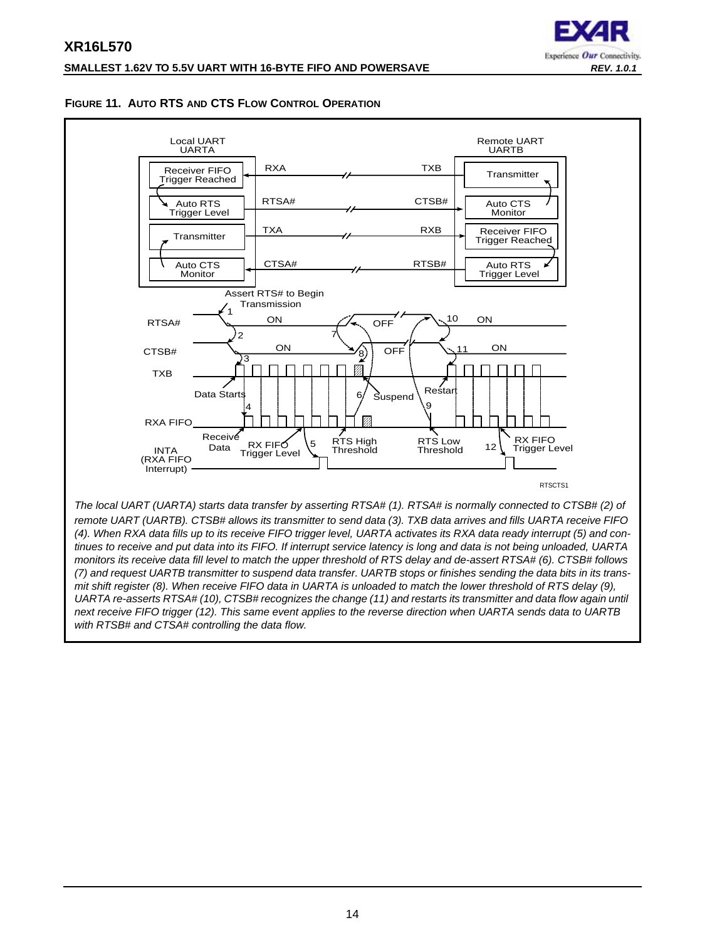## **XR16L570 SMALLEST 1.62V TO 5.5V UART WITH 16-BYTE FIFO AND POWERSAVE** *REV. 1.0.1*



## <span id="page-13-0"></span>**FIGURE 11. AUTO RTS AND CTS FLOW CONTROL OPERATION**



*remote UART (UARTB). CTSB# allows its transmitter to send data (3). TXB data arrives and fills UARTA receive FIFO (4). When RXA data fills up to its receive FIFO trigger level, UARTA activates its RXA data ready interrupt (5) and continues to receive and put data into its FIFO. If interrupt service latency is long and data is not being unloaded, UARTA monitors its receive data fill level to match the upper threshold of RTS delay and de-assert RTSA# (6). CTSB# follows (7) and request UARTB transmitter to suspend data transfer. UARTB stops or finishes sending the data bits in its transmit shift register (8). When receive FIFO data in UARTA is unloaded to match the lower threshold of RTS delay (9), UARTA re-asserts RTSA# (10), CTSB# recognizes the change (11) and restarts its transmitter and data flow again until next receive FIFO trigger (12). This same event applies to the reverse direction when UARTA sends data to UARTB with RTSB# and CTSA# controlling the data flow.*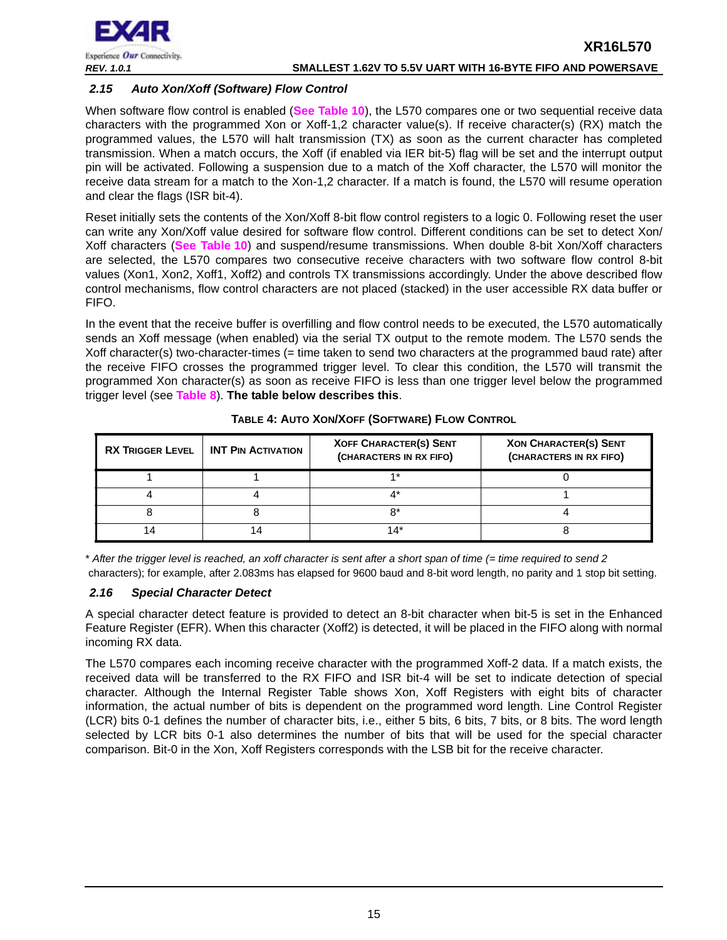

## <span id="page-14-0"></span>*2.15 Auto Xon/Xoff (Software) Flow Control*

When software flow control is enabled (**[See Table](#page-31-0) 10**), the L570 compares one or two sequential receive data characters with the programmed Xon or Xoff-1,2 character value(s). If receive character(s) (RX) match the programmed values, the L570 will halt transmission (TX) as soon as the current character has completed transmission. When a match occurs, the Xoff (if enabled via IER bit-5) flag will be set and the interrupt output pin will be activated. Following a suspension due to a match of the Xoff character, the L570 will monitor the receive data stream for a match to the Xon-1,2 character. If a match is found, the L570 will resume operation and clear the flags (ISR bit-4).

Reset initially sets the contents of the Xon/Xoff 8-bit flow control registers to a logic 0. Following reset the user can write any Xon/Xoff value desired for software flow control. Different conditions can be set to detect Xon/ Xoff characters (**[See Table](#page-31-0) 10**) and suspend/resume transmissions. When double 8-bit Xon/Xoff characters are selected, the L570 compares two consecutive receive characters with two software flow control 8-bit values (Xon1, Xon2, Xoff1, Xoff2) and controls TX transmissions accordingly. Under the above described flow control mechanisms, flow control characters are not placed (stacked) in the user accessible RX data buffer or FIFO.

In the event that the receive buffer is overfilling and flow control needs to be executed, the L570 automatically sends an Xoff message (when enabled) via the serial TX output to the remote modem. The L570 sends the Xoff character(s) two-character-times (= time taken to send two characters at the programmed baud rate) after the receive FIFO crosses the programmed trigger level. To clear this condition, the L570 will transmit the programmed Xon character(s) as soon as receive FIFO is less than one trigger level below the programmed trigger level (see **[Table](#page-25-0) 8**). **The table below describes this**.

<span id="page-14-1"></span>

| <b>RX TRIGGER LEVEL</b> | <b>INT PIN ACTIVATION</b> | <b>XOFF CHARACTER(S) SENT</b><br>(CHARACTERS IN RX FIFO) | <b>XON CHARACTER(S) SENT</b><br>(CHARACTERS IN RX FIFO) |
|-------------------------|---------------------------|----------------------------------------------------------|---------------------------------------------------------|
|                         |                           | $4*$                                                     |                                                         |
|                         |                           |                                                          |                                                         |
|                         |                           | n*                                                       |                                                         |
|                         |                           | 14*                                                      |                                                         |

**TABLE 4: AUTO XON/XOFF (SOFTWARE) FLOW CONTROL**

\* *After the trigger level is reached, an xoff character is sent after a short span of time (= time required to send 2* characters); for example, after 2.083ms has elapsed for 9600 baud and 8-bit word length, no parity and 1 stop bit setting.

## <span id="page-14-2"></span>*2.16 Special Character Detect*

A special character detect feature is provided to detect an 8-bit character when bit-5 is set in the Enhanced Feature Register (EFR). When this character (Xoff2) is detected, it will be placed in the FIFO along with normal incoming RX data.

The L570 compares each incoming receive character with the programmed Xoff-2 data. If a match exists, the received data will be transferred to the RX FIFO and ISR bit-4 will be set to indicate detection of special character. Although the Internal Register Table shows Xon, Xoff Registers with eight bits of character information, the actual number of bits is dependent on the programmed word length. Line Control Register (LCR) bits 0-1 defines the number of character bits, i.e., either 5 bits, 6 bits, 7 bits, or 8 bits. The word length selected by LCR bits 0-1 also determines the number of bits that will be used for the special character comparison. Bit-0 in the Xon, Xoff Registers corresponds with the LSB bit for the receive character.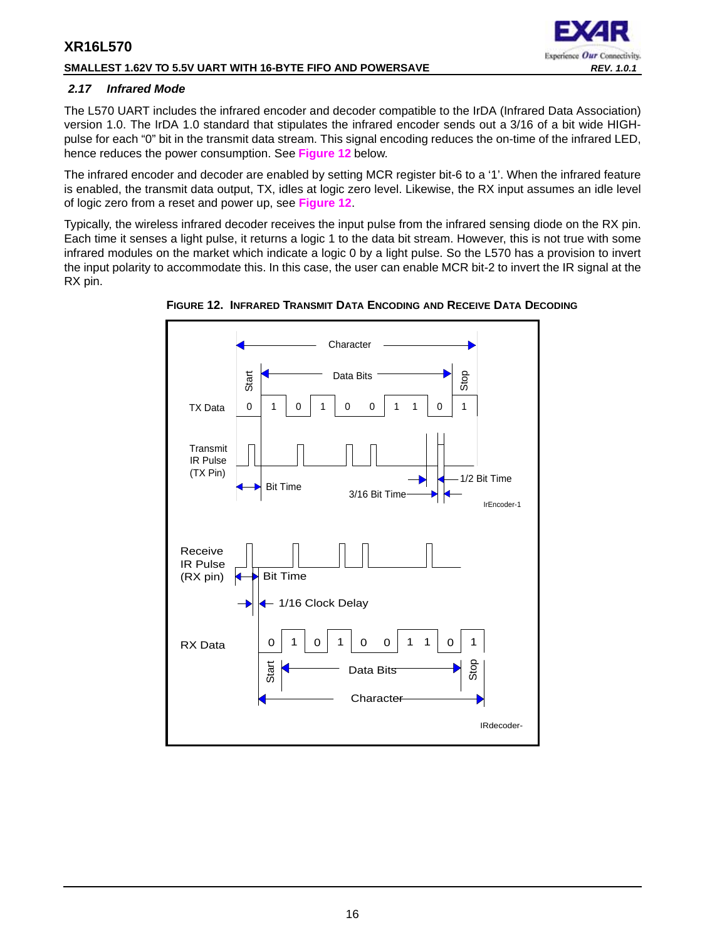## **SMALLEST 1.62V TO 5.5V UART WITH 16-BYTE FIFO AND POWERSAVE** *REV. 1.0.1*

## <span id="page-15-1"></span>*2.17 Infrared Mode*

The L570 UART includes the infrared encoder and decoder compatible to the IrDA (Infrared Data Association) version 1.0. The IrDA 1.0 standard that stipulates the infrared encoder sends out a 3/16 of a bit wide HIGHpulse for each "0" bit in the transmit data stream. This signal encoding reduces the on-time of the infrared LED, hence reduces the power consumption. See **[Figure](#page-15-0) 12** below.

Experience Our Connectivity.

The infrared encoder and decoder are enabled by setting MCR register bit-6 to a '1'. When the infrared feature is enabled, the transmit data output, TX, idles at logic zero level. Likewise, the RX input assumes an idle level of logic zero from a reset and power up, see **[Figure](#page-15-0) 12**.

Typically, the wireless infrared decoder receives the input pulse from the infrared sensing diode on the RX pin. Each time it senses a light pulse, it returns a logic 1 to the data bit stream. However, this is not true with some infrared modules on the market which indicate a logic 0 by a light pulse. So the L570 has a provision to invert the input polarity to accommodate this. In this case, the user can enable MCR bit-2 to invert the IR signal at the RX pin.



<span id="page-15-0"></span>**FIGURE 12. INFRARED TRANSMIT DATA ENCODING AND RECEIVE DATA DECODING**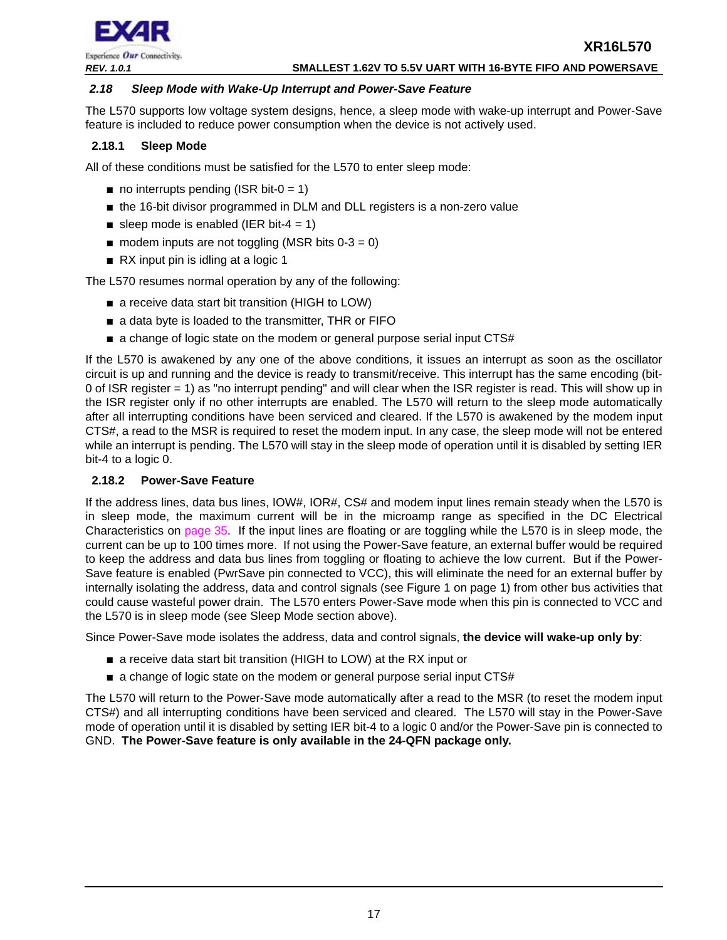

## *REV. 1.0.1* **SMALLEST 1.62V TO 5.5V UART WITH 16-BYTE FIFO AND POWERSAVE**

#### <span id="page-16-1"></span>*2.18 Sleep Mode with Wake-Up Interrupt and Power-Save Feature*

The L570 supports low voltage system designs, hence, a sleep mode with wake-up interrupt and Power-Save feature is included to reduce power consumption when the device is not actively used.

## <span id="page-16-2"></span>**2.18.1 Sleep Mode**

All of these conditions must be satisfied for the L570 to enter sleep mode:

- $\blacksquare$  no interrupts pending (ISR bit-0 = 1)
- the 16-bit divisor programmed in DLM and DLL registers is a non-zero value
- sleep mode is enabled (IER bit-4 = 1)
- $\blacksquare$  modem inputs are not toggling (MSR bits 0-3 = 0)
- RX input pin is idling at a logic 1

The L570 resumes normal operation by any of the following:

- a receive data start bit transition (HIGH to LOW)
- a data byte is loaded to the transmitter, THR or FIFO
- a change of logic state on the modem or general purpose serial input CTS#

If the L570 is awakened by any one of the above conditions, it issues an interrupt as soon as the oscillator circuit is up and running and the device is ready to transmit/receive. This interrupt has the same encoding (bit-0 of ISR register = 1) as "no interrupt pending" and will clear when the ISR register is read. This will show up in the ISR register only if no other interrupts are enabled. The L570 will return to the sleep mode automatically after all interrupting conditions have been serviced and cleared. If the L570 is awakened by the modem input CTS#, a read to the MSR is required to reset the modem input. In any case, the sleep mode will not be entered while an interrupt is pending. The L570 will stay in the sleep mode of operation until it is disabled by setting IER bit-4 to a logic 0.

## <span id="page-16-0"></span>**2.18.2 Power-Save Feature**

If the address lines, data bus lines, IOW#, IOR#, CS# and modem input lines remain steady when the L570 is in sleep mode, the maximum current will be in the microamp range as specified in the DC Electrical Characteristics on [page](#page-34-0) 35. If the input lines are floating or are toggling while the L570 is in sleep mode, the current can be up to 100 times more. If not using the Power-Save feature, an external buffer would be required to keep the address and data bus lines from toggling or floating to achieve the low current. But if the Power-Save feature is enabled (PwrSave pin connected to VCC), this will eliminate the need for an external buffer by internally isolating the address, data and control signals (see Figure 1 on page 1) from other bus activities that could cause wasteful power drain. The L570 enters Power-Save mode when this pin is connected to VCC and the L570 is in sleep mode (see Sleep Mode section above).

Since Power-Save mode isolates the address, data and control signals, **the device will wake-up only by**:

- a receive data start bit transition (HIGH to LOW) at the RX input or
- a change of logic state on the modem or general purpose serial input CTS#

The L570 will return to the Power-Save mode automatically after a read to the MSR (to reset the modem input CTS#) and all interrupting conditions have been serviced and cleared. The L570 will stay in the Power-Save mode of operation until it is disabled by setting IER bit-4 to a logic 0 and/or the Power-Save pin is connected to GND. **The Power-Save feature is only available in the 24-QFN package only.**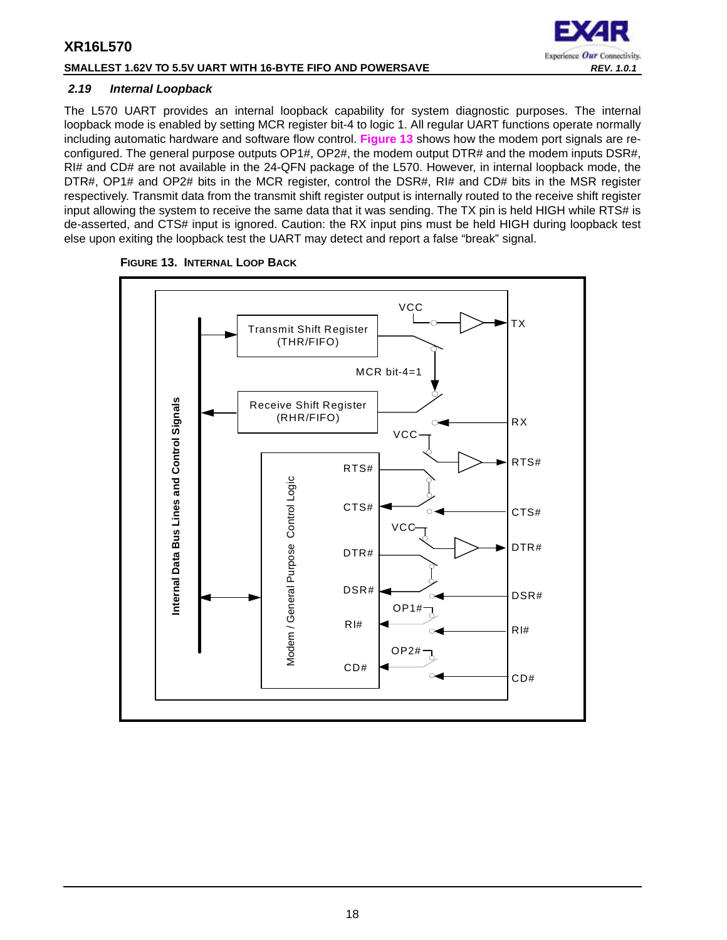## **SMALLEST 1.62V TO 5.5V UART WITH 16-BYTE FIFO AND POWERSAVE** *REV. 1.0.1*



## <span id="page-17-1"></span>*2.19 Internal Loopback*

The L570 UART provides an internal loopback capability for system diagnostic purposes. The internal loopback mode is enabled by setting MCR register bit-4 to logic 1. All regular UART functions operate normally including automatic hardware and software flow control. **[Figure](#page-17-0) 13** shows how the modem port signals are reconfigured. The general purpose outputs OP1#, OP2#, the modem output DTR# and the modem inputs DSR#, RI# and CD# are not available in the 24-QFN package of the L570. However, in internal loopback mode, the DTR#, OP1# and OP2# bits in the MCR register, control the DSR#, RI# and CD# bits in the MSR register respectively. Transmit data from the transmit shift register output is internally routed to the receive shift register input allowing the system to receive the same data that it was sending. The TX pin is held HIGH while RTS# is de-asserted, and CTS# input is ignored. Caution: the RX input pins must be held HIGH during loopback test else upon exiting the loopback test the UART may detect and report a false "break" signal.



#### <span id="page-17-0"></span>**FIGURE 13. INTERNAL LOOP BACK**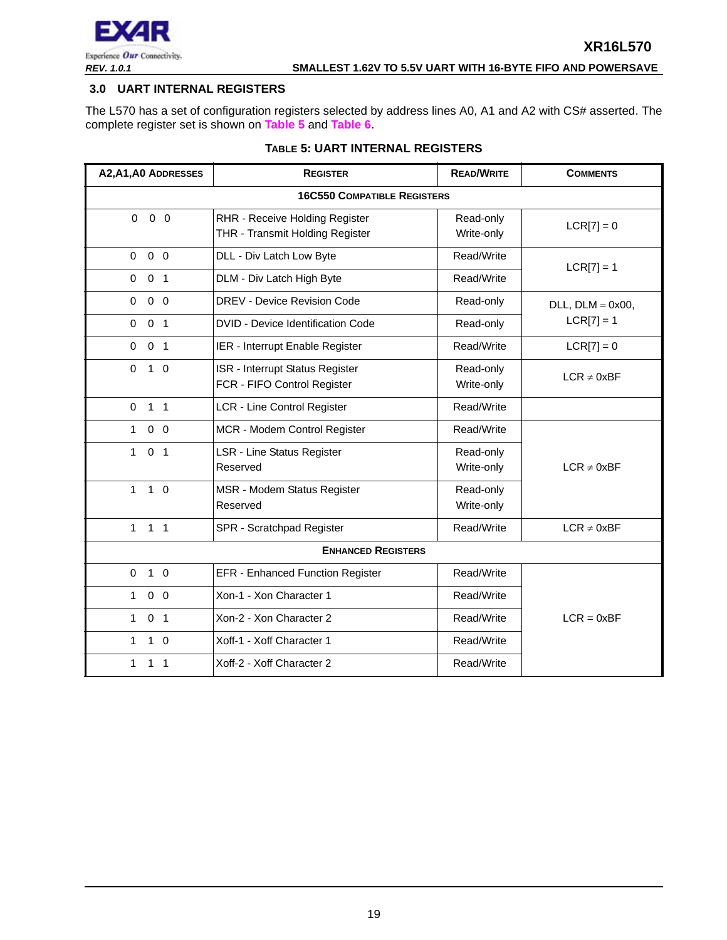

## <span id="page-18-0"></span>**3.0 UART INTERNAL REGISTERS**

The L570 has a set of configuration registers selected by address lines A0, A1 and A2 with CS# asserted. The complete register set is shown on **[Table](#page-18-1) 5** and **[Table](#page-19-0) 6**.

<span id="page-18-1"></span>

| A2, A1, A0 ADDRESSES           | <b>REGISTER</b>                                                   | <b>READ/WRITE</b>       | <b>COMMENTS</b>        |
|--------------------------------|-------------------------------------------------------------------|-------------------------|------------------------|
|                                | <b>16C550 COMPATIBLE REGISTERS</b>                                |                         |                        |
| $\Omega$<br>$0\quad 0$         | RHR - Receive Holding Register<br>THR - Transmit Holding Register | Read-only<br>Write-only | $LCR[7] = 0$           |
| $0\quad 0$<br>$\Omega$         | DLL - Div Latch Low Byte                                          | Read/Write              | $LCR[7] = 1$           |
| 0 <sub>1</sub><br>$\Omega$     | DLM - Div Latch High Byte                                         | Read/Write              |                        |
| $0\quad 0$<br>$\Omega$         | DREV - Device Revision Code                                       | Read-only               | $DLL$ , $DLM = 0x00$ , |
| 0 <sub>1</sub><br>$\Omega$     | DVID - Device Identification Code                                 | Read-only               | $LCR[7] = 1$           |
| 0 <sub>1</sub><br>$\mathbf 0$  | IER - Interrupt Enable Register                                   | Read/Write              | $LCR[7] = 0$           |
| $\Omega$<br>$1\quad0$          | ISR - Interrupt Status Register<br>FCR - FIFO Control Register    | Read-only<br>Write-only | $LCR \neq 0xBF$        |
| $\mathbf 0$<br>$1 \quad 1$     | <b>LCR - Line Control Register</b>                                | Read/Write              |                        |
| $0\quad 0$<br>$\mathbf{1}$     | MCR - Modem Control Register                                      | Read/Write              |                        |
| $\mathbf{1}$<br>0 <sub>1</sub> | <b>LSR - Line Status Register</b><br>Reserved                     | Read-only<br>Write-only | $LCR \neq 0xBF$        |
| $\mathbf{1}$<br>$1\quad$ 0     | MSR - Modem Status Register<br>Reserved                           | Read-only<br>Write-only |                        |
| $1 \quad 1$<br>$\mathbf{1}$    | SPR - Scratchpad Register                                         | Read/Write              | $LCR \neq 0xBF$        |
|                                | <b>ENHANCED REGISTERS</b>                                         |                         |                        |
| $\Omega$<br>$1\quad$ 0         | EFR - Enhanced Function Register                                  | Read/Write              |                        |
| $0\quad 0$<br>$\mathbf{1}$     | Xon-1 - Xon Character 1                                           | Read/Write              |                        |
| 0 <sub>1</sub><br>$\mathbf{1}$ | Xon-2 - Xon Character 2                                           | Read/Write              | $LCR = 0xBF$           |
| $1\quad$ 0<br>$\mathbf{1}$     | Xoff-1 - Xoff Character 1                                         | Read/Write              |                        |
| $\mathbf{1}$<br>1 <sub>1</sub> | Xoff-2 - Xoff Character 2                                         | Read/Write              |                        |

## **TABLE 5: UART INTERNAL REGISTERS**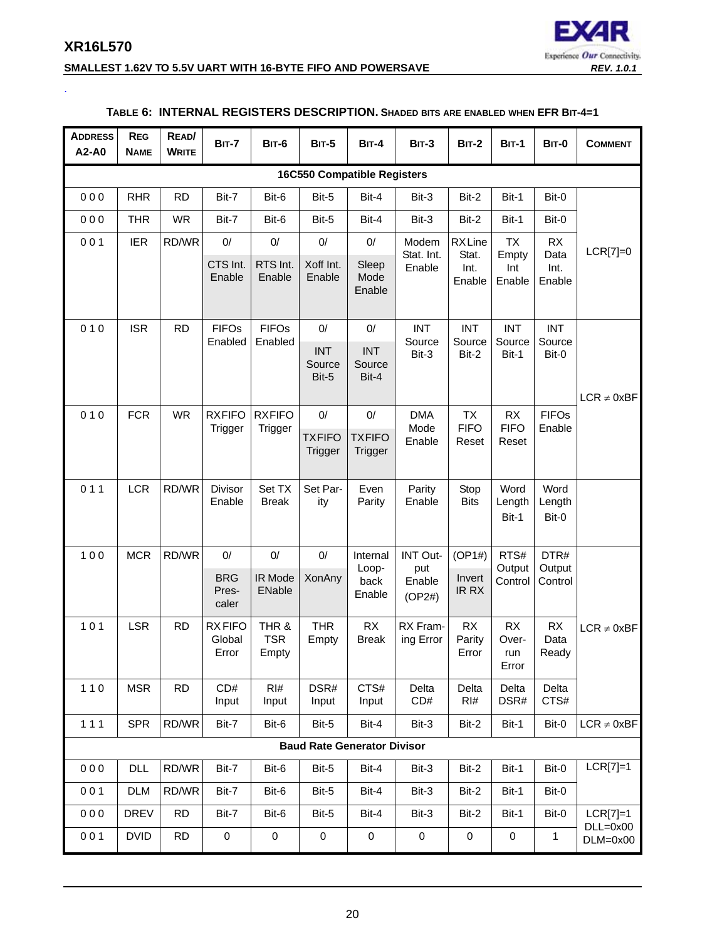<span id="page-19-0"></span>.



#### **SMALLEST 1.62V TO 5.5V UART WITH 16-BYTE FIFO AND POWERSAVE** *REV. 1.0.1*

#### **ADDRESS A2-A0 REG NAME READ/ WRITE BIT-7 BIT-6 BIT-5 BIT-4 BIT-3 BIT-2 BIT-1 BIT-0 COMMENT 16C550 Compatible Registers** 0 0 0 | RHR | RD | Bit-7 | Bit-6 | Bit-5 | Bit-4 | Bit-3 | Bit-2 | Bit-1 | Bit-0 LCR[7]=0 0 0 0 | THR | WR | Bit-7 | Bit-6 | Bit-5 | Bit-4 | Bit-3 | Bit-2 | Bit-1 | Bit-0 0 0 1 | IER | RD/WR | 0/ | 0/ | 0/ | 0/ | Modem Stat. Int. Enable RX Line Stat. Int. Enable TX Empty Int Enable RX Data Int. Enable CTS Int. Enable RTS Int. Enable Xoff Int. Enable Sleep Mode Enable  $010$  SR RD FIFOS Enabled FIFOs Enabled 0/ 0/ INT Source Bit-3 INT Source Bit-2 INT Source Bit-1 INT Source Bit-0  $LCR \neq 0xBF$ INT Source Bit-5 INT Source Bit-4 0 10 FCR WR RXFIFO **Trigger RXFIFO Trigger** 0/ 0/ DMA Mode Enable TX FIFO Reset RX **FIFO** Reset FIFOs Enable **TXFIFO Trigger TXFIFO Trigger** 0 1 1 LCR RD/WR Divisor Enable Set TX Break Set Parity Even Parity Parity Enable Stop **Bits** Word Length Bit-1 Word Length Bit-0 1 0 0 | MCR | RD/WR | 0/ | 0/ | 0/ | Internal Loopback Enable INT Output Enable (OP2#)  $(OP1#)$  RTS# **Output Control** DTR# **Output Control**  $LCR \neq 0xBF$ **BRG** Prescaler IR Mode ENable XonAny Invert IR RX 101 | LSR | RD | RX FIFO **Global** Error THR & TSR Empty THR Empty RX Break RX Framing Error RX Parity Error RX Overrun Error RX Data Ready 110  $MSR$  RD  $CD#$ Input RI# Input DSR# Input CTS# Input Delta CD# Delta RI# Delta DSR# Delta CTS# 1 1 1 | SPR RD/WR Bit-7 | Bit-6 | Bit-5 | Bit-4 | Bit-3 | Bit-2 | Bit-1 | Bit-0 | LCR ≠ 0xBF **Baud Rate Generator Divisor** 0 0 0 | DLL RD/WR | Bit-7 | Bit-6 | Bit-5 | Bit-4 | Bit-3 | Bit-2 | Bit-1 | Bit-0 | LCR[7]=1 0 0 1 | DLM | RD/WR | Bit-7 | Bit-6 | Bit-5 | Bit-4 | Bit-3 | Bit-2 | Bit-1 | Bit-0 0 0 0 | DREV | RD | Bit-7 | Bit-6 | Bit-5 | Bit-4 | Bit-3 | Bit-2 | Bit-1 | Bit-0 | LCR[7]=1 DLL=0x00 DLM=0x00 0 0 1 DVID RD 0 0 0 0 0 0 0 1

## **TABLE 6: INTERNAL REGISTERS DESCRIPTION. SHADED BITS ARE ENABLED WHEN EFR BIT-4=1**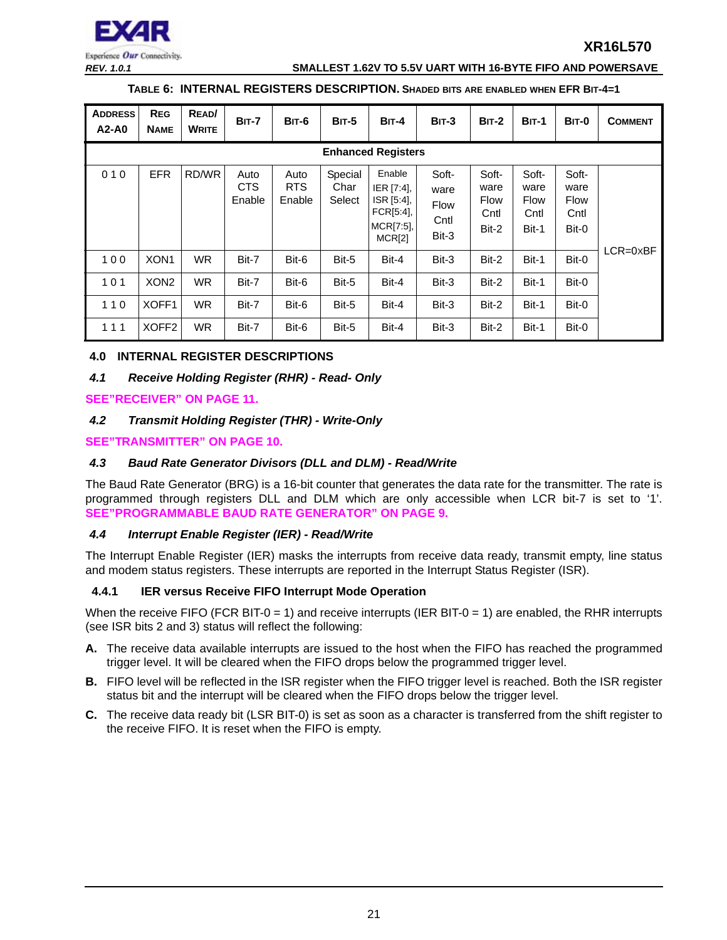

#### *REV. 1.0.1* **SMALLEST 1.62V TO 5.5V UART WITH 16-BYTE FIFO AND POWERSAVE**

#### **TABLE 6: INTERNAL REGISTERS DESCRIPTION. SHADED BITS ARE ENABLED WHEN EFR BIT-4=1**

| <b>ADDRESS</b><br>$A2-A0$ | <b>REG</b><br><b>NAME</b> | READ/<br><b>WRITE</b> | BIT-7                        | BIT-6                        | <b>BIT-5</b>              | $BIT-4$                                                                  | $BIT-3$                                       | <b>BIT-2</b>                                  | <b>BIT-1</b>                                  | BIT-0                                         | <b>COMMENT</b>      |
|---------------------------|---------------------------|-----------------------|------------------------------|------------------------------|---------------------------|--------------------------------------------------------------------------|-----------------------------------------------|-----------------------------------------------|-----------------------------------------------|-----------------------------------------------|---------------------|
|                           | <b>Enhanced Registers</b> |                       |                              |                              |                           |                                                                          |                                               |                                               |                                               |                                               |                     |
| 010                       | <b>EFR</b>                | RD/WR                 | Auto<br><b>CTS</b><br>Enable | Auto<br><b>RTS</b><br>Enable | Special<br>Char<br>Select | Enable<br>IER [7:4],<br>ISR [5:4],<br>FCR[5:4], l<br>MCR[7:5],<br>MCR[2] | Soft-<br>ware<br><b>Flow</b><br>Cntl<br>Bit-3 | Soft-<br>ware<br><b>Flow</b><br>Cntl<br>Bit-2 | Soft-<br>ware<br><b>Flow</b><br>Cntl<br>Bit-1 | Soft-<br>ware<br><b>Flow</b><br>Cntl<br>Bit-0 |                     |
| 100                       | XON <sub>1</sub>          | <b>WR</b>             | Bit-7                        | Bit-6                        | Bit-5                     | Bit-4                                                                    | Bit-3                                         | Bit-2                                         | Bit-1                                         | Bit-0                                         | $LCR = 0 \times BF$ |
| 101                       | XON <sub>2</sub>          | <b>WR</b>             | Bit-7                        | Bit-6                        | Bit-5                     | Bit-4                                                                    | Bit-3                                         | Bit-2                                         | Bit-1                                         | Bit-0                                         |                     |
| 110                       | XOFF1                     | <b>WR</b>             | Bit-7                        | Bit-6                        | Bit-5                     | Bit-4                                                                    | Bit-3                                         | Bit-2                                         | Bit-1                                         | Bit-0                                         |                     |
| 111                       | XOFF <sub>2</sub>         | <b>WR</b>             | Bit-7                        | Bit-6                        | Bit-5                     | Bit-4                                                                    | Bit-3                                         | Bit-2                                         | Bit-1                                         | Bit-0                                         |                     |

## <span id="page-20-0"></span>**4.0 INTERNAL REGISTER DESCRIPTIONS**

## <span id="page-20-1"></span>*4.1 Receive Holding Register (RHR) - Read- Only*

**[SEE"RECEIVER" ON PAGE](#page-10-0) 11.**

## <span id="page-20-2"></span>*4.2 Transmit Holding Register (THR) - Write-Only*

**[SEE"TRANSMITTER" ON PAGE](#page-9-1) 10.**

## <span id="page-20-3"></span>*4.3 Baud Rate Generator Divisors (DLL and DLM) - Read/Write*

The Baud Rate Generator (BRG) is a 16-bit counter that generates the data rate for the transmitter. The rate is programmed through registers DLL and DLM which are only accessible when LCR bit-7 is set to '1'. **[SEE"PROGRAMMABLE BAUD RATE GENERATOR" ON PAGE](#page-8-0) 9.**

## <span id="page-20-4"></span>*4.4 Interrupt Enable Register (IER) - Read/Write*

The Interrupt Enable Register (IER) masks the interrupts from receive data ready, transmit empty, line status and modem status registers. These interrupts are reported in the Interrupt Status Register (ISR).

## <span id="page-20-5"></span>**4.4.1 IER versus Receive FIFO Interrupt Mode Operation**

When the receive FIFO (FCR BIT-0 = 1) and receive interrupts (IER BIT-0 = 1) are enabled, the RHR interrupts (see ISR bits 2 and 3) status will reflect the following:

- **A.** The receive data available interrupts are issued to the host when the FIFO has reached the programmed trigger level. It will be cleared when the FIFO drops below the programmed trigger level.
- **B.** FIFO level will be reflected in the ISR register when the FIFO trigger level is reached. Both the ISR register status bit and the interrupt will be cleared when the FIFO drops below the trigger level.
- **C.** The receive data ready bit (LSR BIT-0) is set as soon as a character is transferred from the shift register to the receive FIFO. It is reset when the FIFO is empty.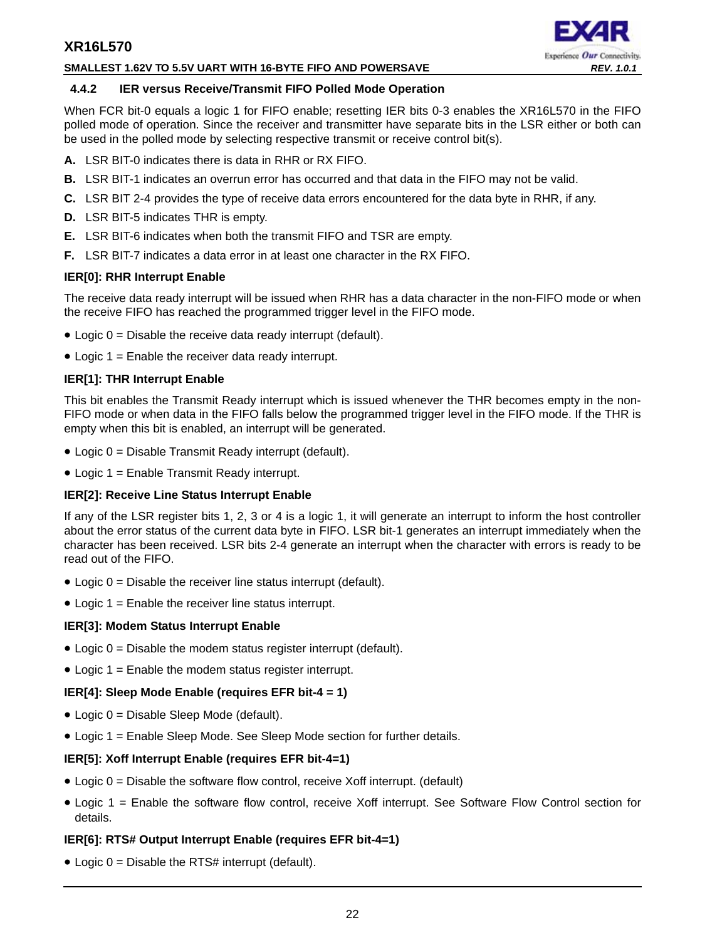#### **SMALLEST 1.62V TO 5.5V UART WITH 16-BYTE FIFO AND POWERSAVE** *REV. 1.0.1*

## Experience Our Connectivity.

## <span id="page-21-0"></span>**4.4.2 IER versus Receive/Transmit FIFO Polled Mode Operation**

When FCR bit-0 equals a logic 1 for FIFO enable; resetting IER bits 0-3 enables the XR16L570 in the FIFO polled mode of operation. Since the receiver and transmitter have separate bits in the LSR either or both can be used in the polled mode by selecting respective transmit or receive control bit(s).

- **A.** LSR BIT-0 indicates there is data in RHR or RX FIFO.
- **B.** LSR BIT-1 indicates an overrun error has occurred and that data in the FIFO may not be valid.
- **C.** LSR BIT 2-4 provides the type of receive data errors encountered for the data byte in RHR, if any.
- **D.** LSR BIT-5 indicates THR is empty.
- **E.** LSR BIT-6 indicates when both the transmit FIFO and TSR are empty.
- **F.** LSR BIT-7 indicates a data error in at least one character in the RX FIFO.

## **IER[0]: RHR Interrupt Enable**

The receive data ready interrupt will be issued when RHR has a data character in the non-FIFO mode or when the receive FIFO has reached the programmed trigger level in the FIFO mode.

- $\bullet$  Logic  $0 =$  Disable the receive data ready interrupt (default).
- Logic 1 = Enable the receiver data ready interrupt.

## **IER[1]: THR Interrupt Enable**

This bit enables the Transmit Ready interrupt which is issued whenever the THR becomes empty in the non-FIFO mode or when data in the FIFO falls below the programmed trigger level in the FIFO mode. If the THR is empty when this bit is enabled, an interrupt will be generated.

- Logic 0 = Disable Transmit Ready interrupt (default).
- Logic 1 = Enable Transmit Ready interrupt.

## **IER[2]: Receive Line Status Interrupt Enable**

If any of the LSR register bits 1, 2, 3 or 4 is a logic 1, it will generate an interrupt to inform the host controller about the error status of the current data byte in FIFO. LSR bit-1 generates an interrupt immediately when the character has been received. LSR bits 2-4 generate an interrupt when the character with errors is ready to be read out of the FIFO.

- Logic  $0 =$  Disable the receiver line status interrupt (default).
- Logic  $1 =$  Enable the receiver line status interrupt.

## **IER[3]: Modem Status Interrupt Enable**

- $\bullet$  Logic  $0 =$  Disable the modem status register interrupt (default).
- Logic 1 = Enable the modem status register interrupt.

## **IER[4]: Sleep Mode Enable (requires EFR bit-4 = 1)**

- Logic 0 = Disable Sleep Mode (default).
- Logic 1 = Enable Sleep Mode. See Sleep Mode section for further details.

## **IER[5]: Xoff Interrupt Enable (requires EFR bit-4=1)**

- Logic 0 = Disable the software flow control, receive Xoff interrupt. (default)
- Logic 1 = Enable the software flow control, receive Xoff interrupt. See Software Flow Control section for details.

## **IER[6]: RTS# Output Interrupt Enable (requires EFR bit-4=1)**

 $\bullet$  Logic 0 = Disable the RTS# interrupt (default).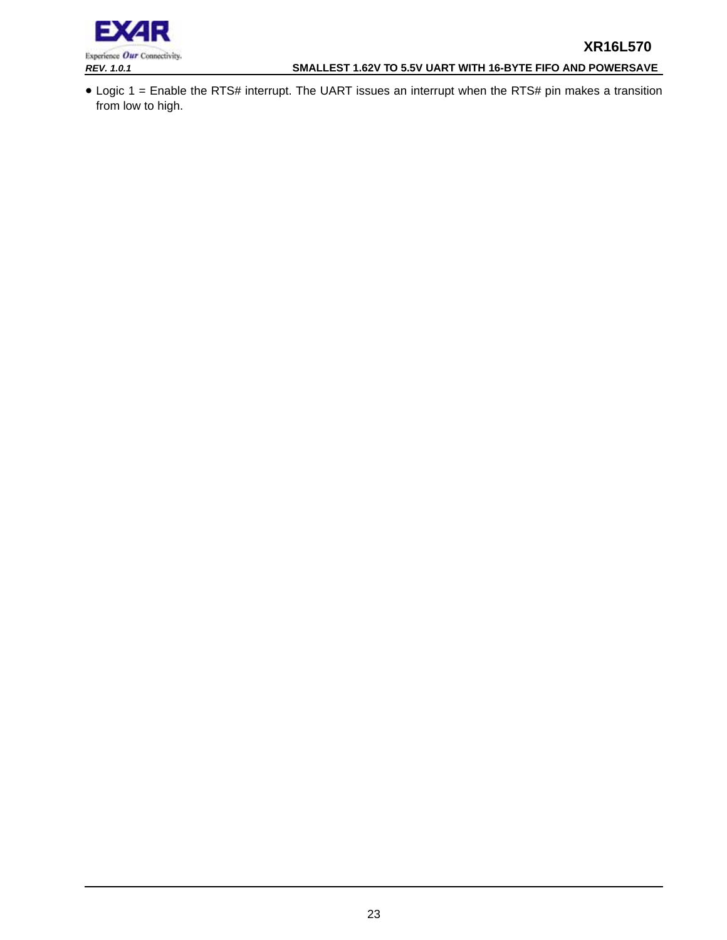## *REV. 1.0.1* **SMALLEST 1.62V TO 5.5V UART WITH 16-BYTE FIFO AND POWERSAVE**

• Logic 1 = Enable the RTS# interrupt. The UART issues an interrupt when the RTS# pin makes a transition from low to high.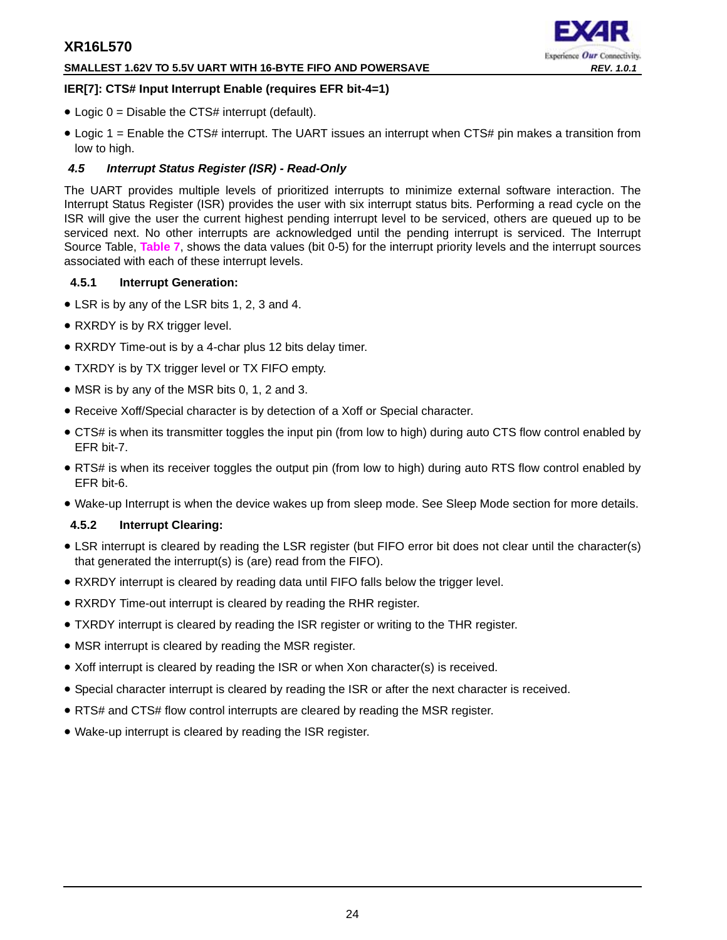## **SMALLEST 1.62V TO 5.5V UART WITH 16-BYTE FIFO AND POWERSAVE** *REV. 1.0.1*



## **IER[7]: CTS# Input Interrupt Enable (requires EFR bit-4=1)**

- Logic  $0 =$  Disable the CTS# interrupt (default).
- Logic 1 = Enable the CTS# interrupt. The UART issues an interrupt when CTS# pin makes a transition from low to high.

## <span id="page-23-0"></span>*4.5 Interrupt Status Register (ISR) - Read-Only*

The UART provides multiple levels of prioritized interrupts to minimize external software interaction. The Interrupt Status Register (ISR) provides the user with six interrupt status bits. Performing a read cycle on the ISR will give the user the current highest pending interrupt level to be serviced, others are queued up to be serviced next. No other interrupts are acknowledged until the pending interrupt is serviced. The Interrupt Source Table, **[Table](#page-24-0) 7**, shows the data values (bit 0-5) for the interrupt priority levels and the interrupt sources associated with each of these interrupt levels.

## <span id="page-23-1"></span>**4.5.1 Interrupt Generation:**

- LSR is by any of the LSR bits 1, 2, 3 and 4.
- RXRDY is by RX trigger level.
- RXRDY Time-out is by a 4-char plus 12 bits delay timer.
- TXRDY is by TX trigger level or TX FIFO empty.
- MSR is by any of the MSR bits 0, 1, 2 and 3.
- Receive Xoff/Special character is by detection of a Xoff or Special character.
- CTS# is when its transmitter toggles the input pin (from low to high) during auto CTS flow control enabled by EFR bit-7.
- RTS# is when its receiver toggles the output pin (from low to high) during auto RTS flow control enabled by EFR bit-6.
- Wake-up Interrupt is when the device wakes up from sleep mode. See Sleep Mode section for more details.

## <span id="page-23-2"></span>**4.5.2 Interrupt Clearing:**

- LSR interrupt is cleared by reading the LSR register (but FIFO error bit does not clear until the character(s) that generated the interrupt(s) is (are) read from the FIFO).
- RXRDY interrupt is cleared by reading data until FIFO falls below the trigger level.
- RXRDY Time-out interrupt is cleared by reading the RHR register.
- TXRDY interrupt is cleared by reading the ISR register or writing to the THR register.
- MSR interrupt is cleared by reading the MSR register.
- Xoff interrupt is cleared by reading the ISR or when Xon character(s) is received.
- Special character interrupt is cleared by reading the ISR or after the next character is received.
- RTS# and CTS# flow control interrupts are cleared by reading the MSR register.
- Wake-up interrupt is cleared by reading the ISR register.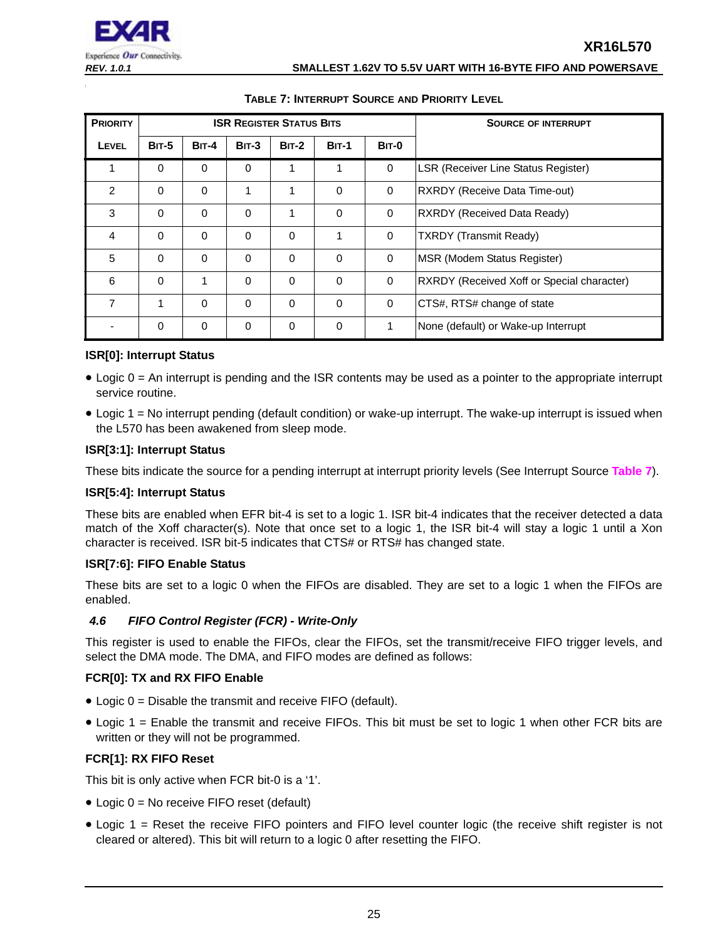#### *REV. 1.0.1* **SMALLEST 1.62V TO 5.5V UART WITH 16-BYTE FIFO AND POWERSAVE**

<span id="page-24-0"></span>

| <b>PRIORITY</b> |              |              |          | <b>ISR REGISTER STATUS BITS</b> |              | <b>SOURCE OF INTERRUPT</b> |                                            |
|-----------------|--------------|--------------|----------|---------------------------------|--------------|----------------------------|--------------------------------------------|
| <b>LEVEL</b>    | <b>BIT-5</b> | <b>BIT-4</b> | $BIT-3$  | <b>BIT-2</b>                    | <b>BIT-1</b> | <b>BIT-0</b>               |                                            |
| 1               | $\Omega$     | $\mathbf 0$  | $\Omega$ | 1                               | 1            | $\mathbf 0$                | <b>LSR (Receiver Line Status Register)</b> |
| 2               | $\Omega$     | $\Omega$     | 1        | 1                               | $\Omega$     | 0                          | <b>RXRDY (Receive Data Time-out)</b>       |
| 3               | $\Omega$     | $\Omega$     | $\Omega$ | 1                               | $\Omega$     | $\mathbf 0$                | <b>RXRDY (Received Data Ready)</b>         |
| 4               | $\Omega$     | $\Omega$     | $\Omega$ | $\Omega$                        | 1            | $\mathbf 0$                | <b>TXRDY</b> (Transmit Ready)              |
| 5               | $\Omega$     | $\Omega$     | $\Omega$ | $\Omega$                        | $\Omega$     | $\Omega$                   | MSR (Modem Status Register)                |
| 6               | $\Omega$     | 1            | $\Omega$ | $\Omega$                        | $\Omega$     | $\mathbf 0$                | RXRDY (Received Xoff or Special character) |
| 7               | 1            | $\Omega$     | $\Omega$ | $\Omega$                        | $\Omega$     | $\mathbf 0$                | CTS#, RTS# change of state                 |
|                 | $\Omega$     | $\Omega$     | $\Omega$ | $\Omega$                        | $\Omega$     | 1                          | None (default) or Wake-up Interrupt        |

## **TABLE 7: INTERRUPT SOURCE AND PRIORITY LEVEL**

## **ISR[0]: Interrupt Status**

- Logic 0 = An interrupt is pending and the ISR contents may be used as a pointer to the appropriate interrupt service routine.
- Logic 1 = No interrupt pending (default condition) or wake-up interrupt. The wake-up interrupt is issued when the L570 has been awakened from sleep mode.

## **ISR[3:1]: Interrupt Status**

These bits indicate the source for a pending interrupt at interrupt priority levels (See Interrupt Source **[Table](#page-24-0) 7**).

## **ISR[5:4]: Interrupt Status**

These bits are enabled when EFR bit-4 is set to a logic 1. ISR bit-4 indicates that the receiver detected a data match of the Xoff character(s). Note that once set to a logic 1, the ISR bit-4 will stay a logic 1 until a Xon character is received. ISR bit-5 indicates that CTS# or RTS# has changed state.

## **ISR[7:6]: FIFO Enable Status**

These bits are set to a logic 0 when the FIFOs are disabled. They are set to a logic 1 when the FIFOs are enabled.

## <span id="page-24-1"></span>*4.6 FIFO Control Register (FCR) - Write-Only*

This register is used to enable the FIFOs, clear the FIFOs, set the transmit/receive FIFO trigger levels, and select the DMA mode. The DMA, and FIFO modes are defined as follows:

## **FCR[0]: TX and RX FIFO Enable**

- Logic 0 = Disable the transmit and receive FIFO (default).
- Logic 1 = Enable the transmit and receive FIFOs. This bit must be set to logic 1 when other FCR bits are written or they will not be programmed.

## **FCR[1]: RX FIFO Reset**

This bit is only active when FCR bit-0 is a '1'.

- Logic 0 = No receive FIFO reset (default)
- Logic 1 = Reset the receive FIFO pointers and FIFO level counter logic (the receive shift register is not cleared or altered). This bit will return to a logic 0 after resetting the FIFO.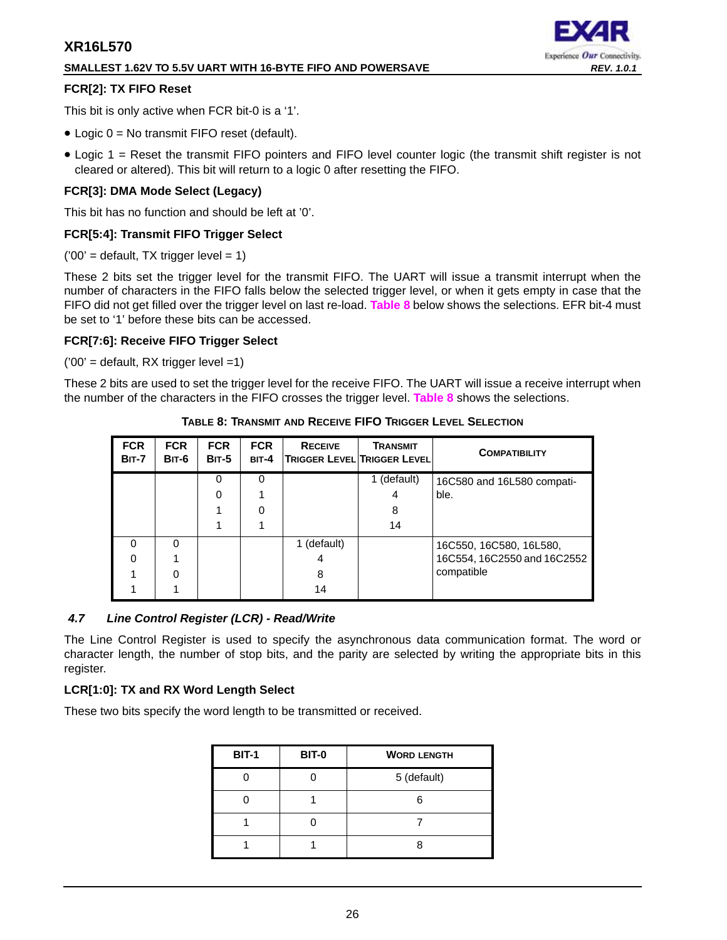## **SMALLEST 1.62V TO 5.5V UART WITH 16-BYTE FIFO AND POWERSAVE** *REV. 1.0.1*



## **FCR[2]: TX FIFO Reset**

This bit is only active when FCR bit-0 is a '1'.

- Logic 0 = No transmit FIFO reset (default).
- Logic 1 = Reset the transmit FIFO pointers and FIFO level counter logic (the transmit shift register is not cleared or altered). This bit will return to a logic 0 after resetting the FIFO.

## **FCR[3]: DMA Mode Select (Legacy)**

This bit has no function and should be left at '0'.

## **FCR[5:4]: Transmit FIFO Trigger Select**

 $(200)$  = default, TX trigger level = 1)

These 2 bits set the trigger level for the transmit FIFO. The UART will issue a transmit interrupt when the number of characters in the FIFO falls below the selected trigger level, or when it gets empty in case that the FIFO did not get filled over the trigger level on last re-load. **[Table](#page-25-0) 8** below shows the selections. EFR bit-4 must be set to '1' before these bits can be accessed.

## **FCR[7:6]: Receive FIFO Trigger Select**

 $(100)$  = default, RX trigger level = 1)

<span id="page-25-0"></span>These 2 bits are used to set the trigger level for the receive FIFO. The UART will issue a receive interrupt when the number of the characters in the FIFO crosses the trigger level. **[Table](#page-25-0) 8** shows the selections.

| <b>FCR</b><br><b>BIT-7</b> | <b>FCR</b><br>BIT-6 | <b>FCR</b><br><b>BIT-5</b> | <b>FCR</b><br>$BIT-4$ | <b>RECEIVE</b> | <b>TRANSMIT</b><br><b>TRIGGER LEVEL TRIGGER LEVEL</b> | <b>COMPATIBILITY</b>        |
|----------------------------|---------------------|----------------------------|-----------------------|----------------|-------------------------------------------------------|-----------------------------|
|                            |                     | 0                          | O                     |                | 1 (default)                                           | 16C580 and 16L580 compati-  |
|                            |                     | 0                          |                       |                |                                                       | ble.                        |
|                            |                     |                            |                       |                | 8                                                     |                             |
|                            |                     |                            |                       |                | 14                                                    |                             |
| $\Omega$                   | ∩                   |                            |                       | 1 (default)    |                                                       | 16C550, 16C580, 16L580,     |
| 0                          |                     |                            |                       | 4              |                                                       | 16C554, 16C2550 and 16C2552 |
|                            |                     |                            |                       | 8              |                                                       | compatible                  |
|                            |                     |                            |                       | 14             |                                                       |                             |

**TABLE 8: TRANSMIT AND RECEIVE FIFO TRIGGER LEVEL SELECTION**

## <span id="page-25-1"></span>*4.7 Line Control Register (LCR) - Read/Write*

The Line Control Register is used to specify the asynchronous data communication format. The word or character length, the number of stop bits, and the parity are selected by writing the appropriate bits in this register.

## **LCR[1:0]: TX and RX Word Length Select**

These two bits specify the word length to be transmitted or received.

| <b>BIT-1</b> | <b>BIT-0</b> | <b>WORD LENGTH</b> |
|--------------|--------------|--------------------|
|              |              | 5 (default)        |
|              |              |                    |
|              |              |                    |
|              |              |                    |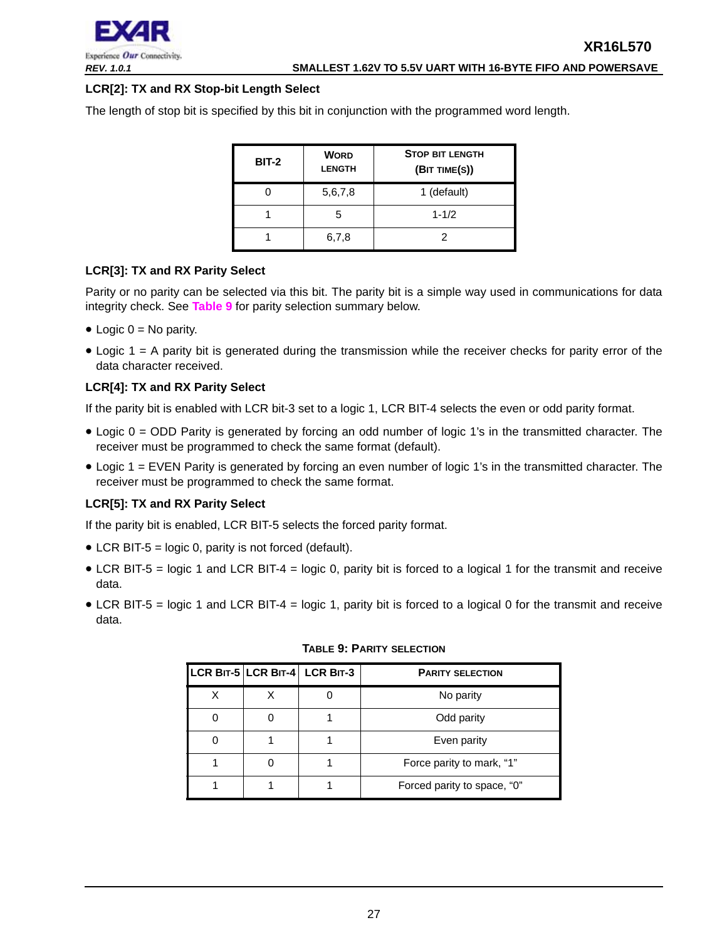

## **LCR[2]: TX and RX Stop-bit Length Select**

The length of stop bit is specified by this bit in conjunction with the programmed word length.

| <b>BIT-2</b> | <b>WORD</b><br><b>LENGTH</b> | <b>STOP BIT LENGTH</b><br>(BIT TIME(S)) |
|--------------|------------------------------|-----------------------------------------|
|              | 5,6,7,8                      | 1 (default)                             |
|              | 5                            | $1 - 1/2$                               |
|              | 6,7,8                        |                                         |

## **LCR[3]: TX and RX Parity Select**

Parity or no parity can be selected via this bit. The parity bit is a simple way used in communications for data integrity check. See **[Table](#page-26-0) 9** for parity selection summary below.

- Logic  $0 = No$  parity.
- Logic 1 = A parity bit is generated during the transmission while the receiver checks for parity error of the data character received.

## **LCR[4]: TX and RX Parity Select**

If the parity bit is enabled with LCR bit-3 set to a logic 1, LCR BIT-4 selects the even or odd parity format.

- Logic 0 = ODD Parity is generated by forcing an odd number of logic 1's in the transmitted character. The receiver must be programmed to check the same format (default).
- Logic 1 = EVEN Parity is generated by forcing an even number of logic 1's in the transmitted character. The receiver must be programmed to check the same format.

## **LCR[5]: TX and RX Parity Select**

If the parity bit is enabled, LCR BIT-5 selects the forced parity format.

- LCR BIT-5 = logic 0, parity is not forced (default).
- LCR BIT-5 = logic 1 and LCR BIT-4 = logic 0, parity bit is forced to a logical 1 for the transmit and receive data.
- <span id="page-26-0"></span>• LCR BIT-5 = logic 1 and LCR BIT-4 = logic 1, parity bit is forced to a logical 0 for the transmit and receive data.

|   | LCR BIT-5 LCR BIT-4 LCR BIT-3 | <b>PARITY SELECTION</b>     |
|---|-------------------------------|-----------------------------|
| Χ |                               | No parity                   |
|   |                               | Odd parity                  |
|   |                               | Even parity                 |
|   |                               | Force parity to mark, "1"   |
|   |                               | Forced parity to space, "0" |

## **TABLE 9: PARITY SELECTION**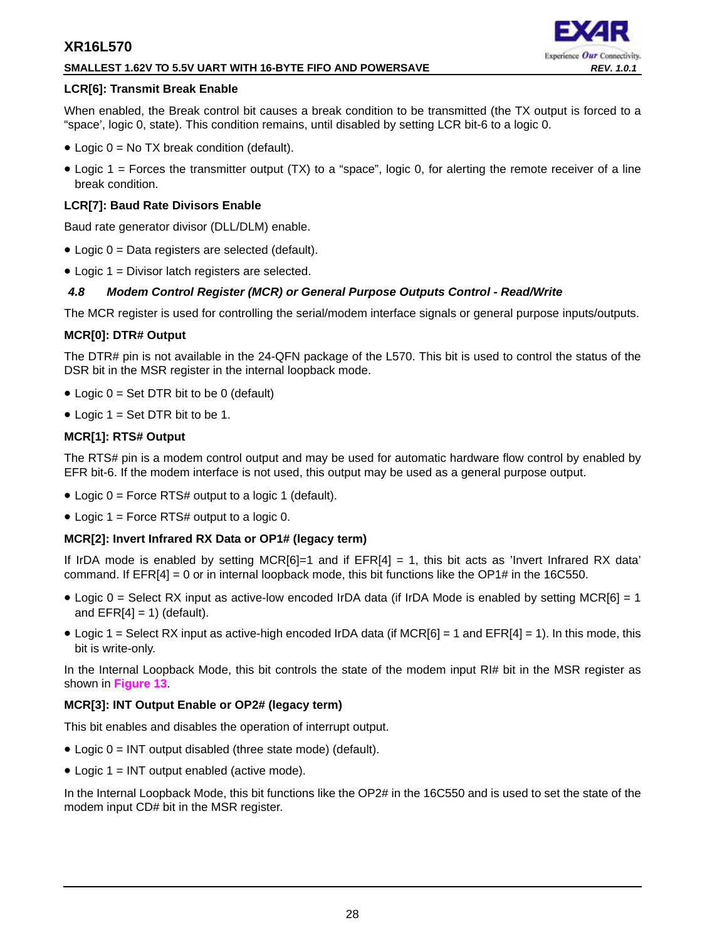## **SMALLEST 1.62V TO 5.5V UART WITH 16-BYTE FIFO AND POWERSAVE** *REV. 1.0.1*

## **LCR[6]: Transmit Break Enable**

When enabled, the Break control bit causes a break condition to be transmitted (the TX output is forced to a "space', logic 0, state). This condition remains, until disabled by setting LCR bit-6 to a logic 0.

- Logic  $0 = No$  TX break condition (default).
- Logic 1 = Forces the transmitter output (TX) to a "space", logic 0, for alerting the remote receiver of a line break condition.

## **LCR[7]: Baud Rate Divisors Enable**

Baud rate generator divisor (DLL/DLM) enable.

- Logic 0 = Data registers are selected (default).
- Logic 1 = Divisor latch registers are selected.

## <span id="page-27-0"></span>*4.8 Modem Control Register (MCR) or General Purpose Outputs Control - Read/Write*

The MCR register is used for controlling the serial/modem interface signals or general purpose inputs/outputs.

## **MCR[0]: DTR# Output**

The DTR# pin is not available in the 24-QFN package of the L570. This bit is used to control the status of the DSR bit in the MSR register in the internal loopback mode.

- Logic  $0 = Set DTR$  bit to be 0 (default)
- Logic  $1 = Set DTR$  bit to be 1.

## **MCR[1]: RTS# Output**

The RTS# pin is a modem control output and may be used for automatic hardware flow control by enabled by EFR bit-6. If the modem interface is not used, this output may be used as a general purpose output.

- Logic 0 = Force RTS# output to a logic 1 (default).
- Logic 1 = Force RTS# output to a logic 0.

## **MCR[2]: Invert Infrared RX Data or OP1# (legacy term)**

If IrDA mode is enabled by setting MCR $[6]$ =1 and if  $EFR[4] = 1$ , this bit acts as 'Invert Infrared RX data' command. If EFR[4] = 0 or in internal loopback mode, this bit functions like the OP1# in the 16C550.

- Logic 0 = Select RX input as active-low encoded IrDA data (if IrDA Mode is enabled by setting MCR[6] = 1 and  $EFR[4] = 1$ ) (default).
- Logic 1 = Select RX input as active-high encoded IrDA data (if  $MCR[6] = 1$  and  $EFR[4] = 1$ ). In this mode, this bit is write-only.

In the Internal Loopback Mode, this bit controls the state of the modem input RI# bit in the MSR register as shown in **[Figure](#page-17-0) 13**.

## **MCR[3]: INT Output Enable or OP2# (legacy term)**

This bit enables and disables the operation of interrupt output.

- Logic 0 = INT output disabled (three state mode) (default).
- Logic 1 = INT output enabled (active mode).

In the Internal Loopback Mode, this bit functions like the OP2# in the 16C550 and is used to set the state of the modem input CD# bit in the MSR register.

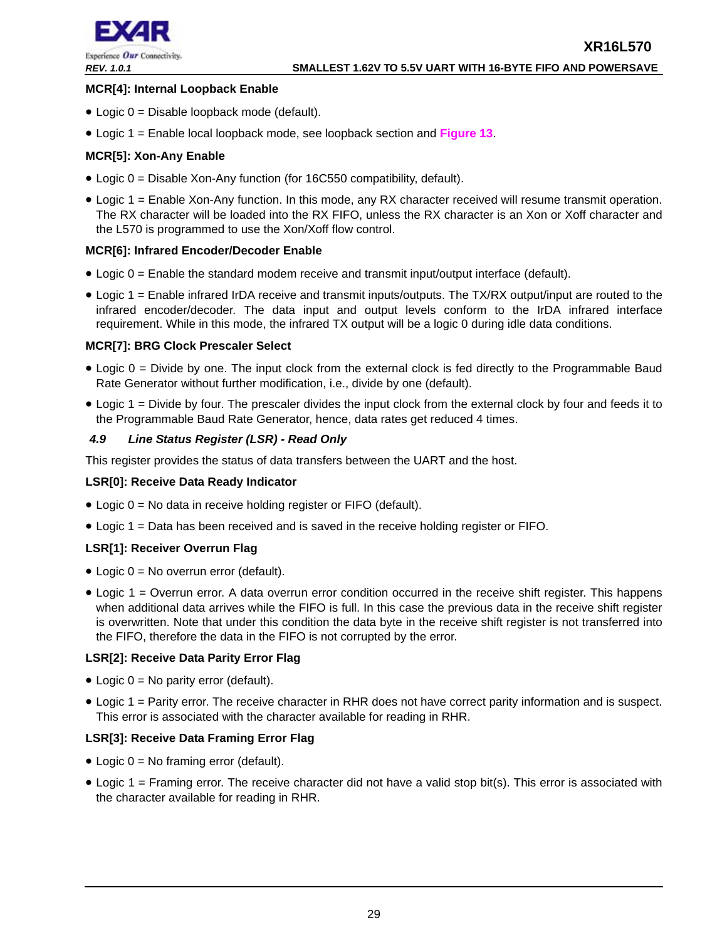

## **MCR[4]: Internal Loopback Enable**

- Logic 0 = Disable loopback mode (default).
- Logic 1 = Enable local loopback mode, see loopback section and **[Figure](#page-17-0) 13**.

## **MCR[5]: Xon-Any Enable**

- Logic 0 = Disable Xon-Any function (for 16C550 compatibility, default).
- Logic 1 = Enable Xon-Any function. In this mode, any RX character received will resume transmit operation. The RX character will be loaded into the RX FIFO, unless the RX character is an Xon or Xoff character and the L570 is programmed to use the Xon/Xoff flow control.

## **MCR[6]: Infrared Encoder/Decoder Enable**

- Logic 0 = Enable the standard modem receive and transmit input/output interface (default).
- Logic 1 = Enable infrared IrDA receive and transmit inputs/outputs. The TX/RX output/input are routed to the infrared encoder/decoder. The data input and output levels conform to the IrDA infrared interface requirement. While in this mode, the infrared TX output will be a logic 0 during idle data conditions.

## **MCR[7]: BRG Clock Prescaler Select**

- Logic 0 = Divide by one. The input clock from the external clock is fed directly to the Programmable Baud Rate Generator without further modification, i.e., divide by one (default).
- Logic 1 = Divide by four. The prescaler divides the input clock from the external clock by four and feeds it to the Programmable Baud Rate Generator, hence, data rates get reduced 4 times.

## <span id="page-28-0"></span>*4.9 Line Status Register (LSR) - Read Only*

This register provides the status of data transfers between the UART and the host.

## **LSR[0]: Receive Data Ready Indicator**

- Logic 0 = No data in receive holding register or FIFO (default).
- Logic 1 = Data has been received and is saved in the receive holding register or FIFO.

## **LSR[1]: Receiver Overrun Flag**

- Logic  $0 = No$  overrun error (default).
- Logic 1 = Overrun error. A data overrun error condition occurred in the receive shift register. This happens when additional data arrives while the FIFO is full. In this case the previous data in the receive shift register is overwritten. Note that under this condition the data byte in the receive shift register is not transferred into the FIFO, therefore the data in the FIFO is not corrupted by the error.

## **LSR[2]: Receive Data Parity Error Flag**

- Logic  $0 = No$  parity error (default).
- Logic 1 = Parity error. The receive character in RHR does not have correct parity information and is suspect. This error is associated with the character available for reading in RHR.

## **LSR[3]: Receive Data Framing Error Flag**

- Logic  $0 = No$  framing error (default).
- Logic 1 = Framing error. The receive character did not have a valid stop bit(s). This error is associated with the character available for reading in RHR.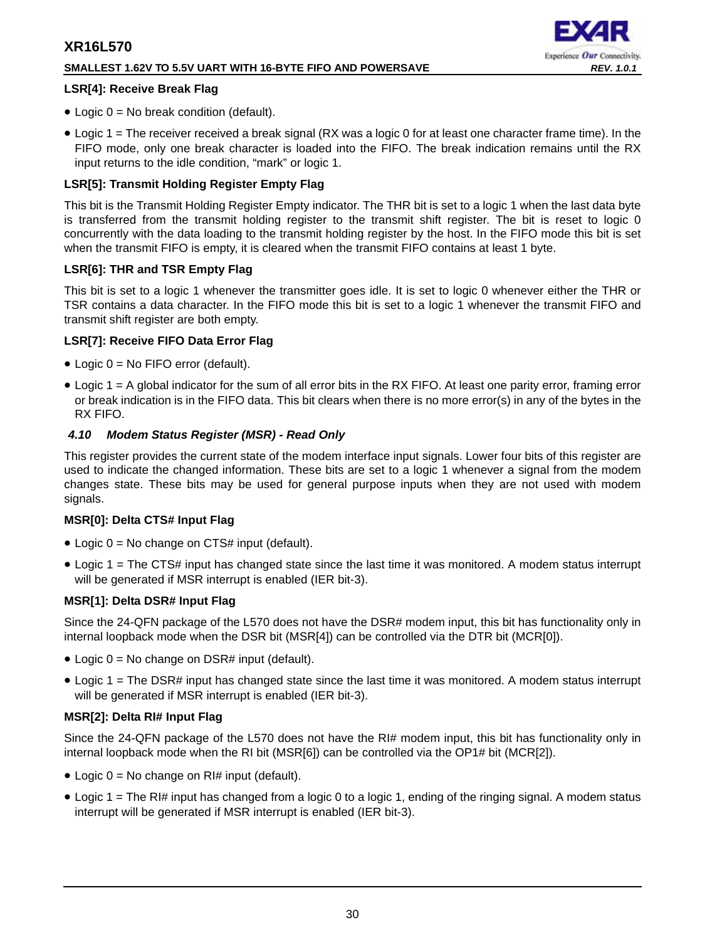## **SMALLEST 1.62V TO 5.5V UART WITH 16-BYTE FIFO AND POWERSAVE** *REV. 1.0.1*

# Experience Our Connectivity.

## **LSR[4]: Receive Break Flag**

- Logic  $0 = No$  break condition (default).
- Logic 1 = The receiver received a break signal (RX was a logic 0 for at least one character frame time). In the FIFO mode, only one break character is loaded into the FIFO. The break indication remains until the RX input returns to the idle condition, "mark" or logic 1.

## **LSR[5]: Transmit Holding Register Empty Flag**

This bit is the Transmit Holding Register Empty indicator. The THR bit is set to a logic 1 when the last data byte is transferred from the transmit holding register to the transmit shift register. The bit is reset to logic 0 concurrently with the data loading to the transmit holding register by the host. In the FIFO mode this bit is set when the transmit FIFO is empty, it is cleared when the transmit FIFO contains at least 1 byte.

## **LSR[6]: THR and TSR Empty Flag**

This bit is set to a logic 1 whenever the transmitter goes idle. It is set to logic 0 whenever either the THR or TSR contains a data character. In the FIFO mode this bit is set to a logic 1 whenever the transmit FIFO and transmit shift register are both empty.

## **LSR[7]: Receive FIFO Data Error Flag**

- Logic 0 = No FIFO error (default).
- Logic 1 = A global indicator for the sum of all error bits in the RX FIFO. At least one parity error, framing error or break indication is in the FIFO data. This bit clears when there is no more error(s) in any of the bytes in the RX FIFO.

## <span id="page-29-0"></span>*4.10 Modem Status Register (MSR) - Read Only*

This register provides the current state of the modem interface input signals. Lower four bits of this register are used to indicate the changed information. These bits are set to a logic 1 whenever a signal from the modem changes state. These bits may be used for general purpose inputs when they are not used with modem signals.

## **MSR[0]: Delta CTS# Input Flag**

- Logic  $0 = No$  change on CTS# input (default).
- Logic 1 = The CTS# input has changed state since the last time it was monitored. A modem status interrupt will be generated if MSR interrupt is enabled (IER bit-3).

## **MSR[1]: Delta DSR# Input Flag**

Since the 24-QFN package of the L570 does not have the DSR# modem input, this bit has functionality only in internal loopback mode when the DSR bit (MSR[4]) can be controlled via the DTR bit (MCR[0]).

- Logic 0 = No change on DSR# input (default).
- Logic 1 = The DSR# input has changed state since the last time it was monitored. A modem status interrupt will be generated if MSR interrupt is enabled (IER bit-3).

## **MSR[2]: Delta RI# Input Flag**

Since the 24-QFN package of the L570 does not have the RI# modem input, this bit has functionality only in internal loopback mode when the RI bit (MSR[6]) can be controlled via the OP1# bit (MCR[2]).

- Logic  $0 = No$  change on RI# input (default).
- Logic 1 = The RI# input has changed from a logic 0 to a logic 1, ending of the ringing signal. A modem status interrupt will be generated if MSR interrupt is enabled (IER bit-3).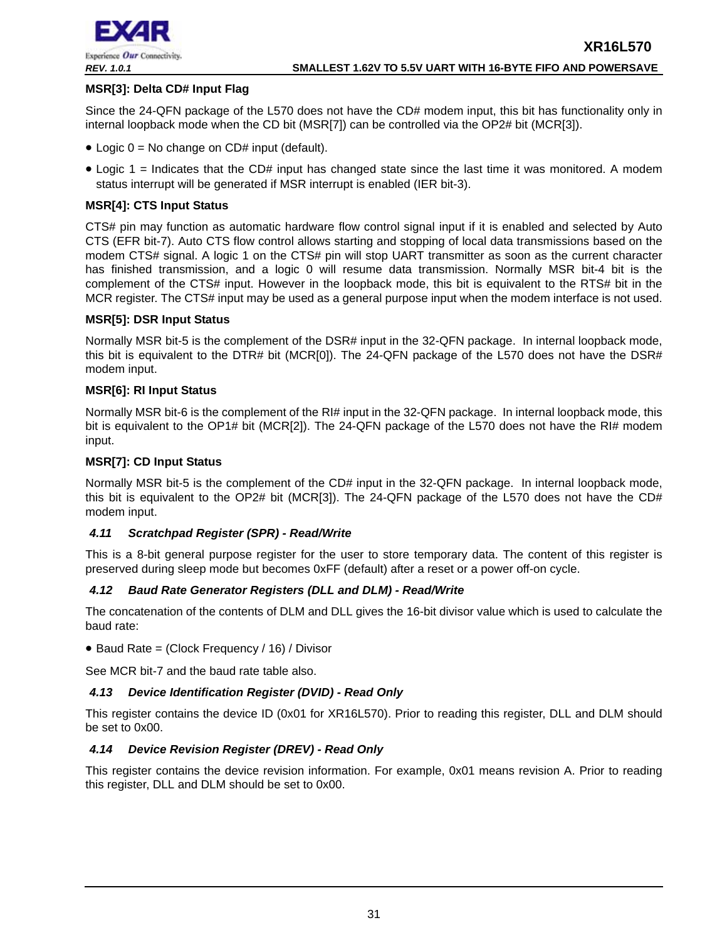

## **MSR[3]: Delta CD# Input Flag**

Since the 24-QFN package of the L570 does not have the CD# modem input, this bit has functionality only in internal loopback mode when the CD bit (MSR[7]) can be controlled via the OP2# bit (MCR[3]).

- Logic  $0 = No$  change on CD# input (default).
- Logic 1 = Indicates that the CD# input has changed state since the last time it was monitored. A modem status interrupt will be generated if MSR interrupt is enabled (IER bit-3).

## **MSR[4]: CTS Input Status**

CTS# pin may function as automatic hardware flow control signal input if it is enabled and selected by Auto CTS (EFR bit-7). Auto CTS flow control allows starting and stopping of local data transmissions based on the modem CTS# signal. A logic 1 on the CTS# pin will stop UART transmitter as soon as the current character has finished transmission, and a logic 0 will resume data transmission. Normally MSR bit-4 bit is the complement of the CTS# input. However in the loopback mode, this bit is equivalent to the RTS# bit in the MCR register. The CTS# input may be used as a general purpose input when the modem interface is not used.

## **MSR[5]: DSR Input Status**

Normally MSR bit-5 is the complement of the DSR# input in the 32-QFN package. In internal loopback mode, this bit is equivalent to the DTR# bit (MCR[0]). The 24-QFN package of the L570 does not have the DSR# modem input.

## **MSR[6]: RI Input Status**

Normally MSR bit-6 is the complement of the RI# input in the 32-QFN package. In internal loopback mode, this bit is equivalent to the OP1# bit (MCR[2]). The 24-QFN package of the L570 does not have the RI# modem input.

## **MSR[7]: CD Input Status**

Normally MSR bit-5 is the complement of the CD# input in the 32-QFN package. In internal loopback mode, this bit is equivalent to the OP2# bit (MCR[3]). The 24-QFN package of the L570 does not have the CD# modem input.

## <span id="page-30-0"></span>*4.11 Scratchpad Register (SPR) - Read/Write*

This is a 8-bit general purpose register for the user to store temporary data. The content of this register is preserved during sleep mode but becomes 0xFF (default) after a reset or a power off-on cycle.

## <span id="page-30-1"></span>*4.12 Baud Rate Generator Registers (DLL and DLM) - Read/Write*

The concatenation of the contents of DLM and DLL gives the 16-bit divisor value which is used to calculate the baud rate:

• Baud Rate = (Clock Frequency / 16) / Divisor

See MCR bit-7 and the baud rate table also.

## <span id="page-30-2"></span>*4.13 Device Identification Register (DVID) - Read Only*

This register contains the device ID (0x01 for XR16L570). Prior to reading this register, DLL and DLM should be set to 0x00.

## <span id="page-30-3"></span>*4.14 Device Revision Register (DREV) - Read Only*

This register contains the device revision information. For example, 0x01 means revision A. Prior to reading this register, DLL and DLM should be set to 0x00.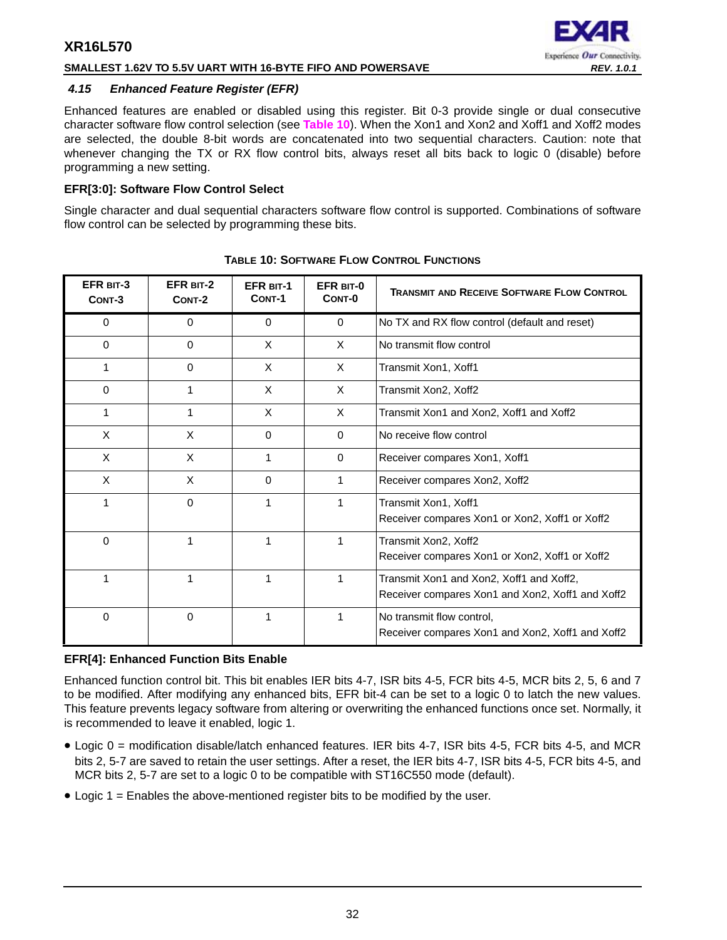## **SMALLEST 1.62V TO 5.5V UART WITH 16-BYTE FIFO AND POWERSAVE** *REV. 1.0.1*

## Experience Our Connectivity.

## <span id="page-31-1"></span>*4.15 Enhanced Feature Register (EFR)*

Enhanced features are enabled or disabled using this register. Bit 0-3 provide single or dual consecutive character software flow control selection (see **[Table](#page-31-0) 10**). When the Xon1 and Xon2 and Xoff1 and Xoff2 modes are selected, the double 8-bit words are concatenated into two sequential characters. Caution: note that whenever changing the TX or RX flow control bits, always reset all bits back to logic 0 (disable) before programming a new setting.

## **EFR[3:0]: Software Flow Control Select**

Single character and dual sequential characters software flow control is supported. Combinations of software flow control can be selected by programming these bits.

<span id="page-31-0"></span>

| EFR BIT-3<br>CONT-3 | EFR BIT-2<br>CONT-2 | <b>EFR BIT-1</b><br>CONT-1 | EFR BIT-0<br>CONT-0 | <b>TRANSMIT AND RECEIVE SOFTWARE FLOW CONTROL</b>                                            |
|---------------------|---------------------|----------------------------|---------------------|----------------------------------------------------------------------------------------------|
| 0                   | $\Omega$            | $\Omega$                   | $\mathbf{0}$        | No TX and RX flow control (default and reset)                                                |
| 0                   | $\Omega$            | X                          | X                   | No transmit flow control                                                                     |
|                     | 0                   | X                          | X                   | Transmit Xon1, Xoff1                                                                         |
| 0                   | 1                   | X                          | $\times$            | Transmit Xon2, Xoff2                                                                         |
|                     | 1                   | X                          | $\times$            | Transmit Xon1 and Xon2, Xoff1 and Xoff2                                                      |
| X                   | X                   | $\Omega$                   | $\Omega$            | No receive flow control                                                                      |
| X                   | X                   | 1                          | $\Omega$            | Receiver compares Xon1, Xoff1                                                                |
| $\times$            | X                   | $\mathbf 0$                | 1                   | Receiver compares Xon2, Xoff2                                                                |
|                     | $\Omega$            | 1                          | 1                   | Transmit Xon1, Xoff1<br>Receiver compares Xon1 or Xon2, Xoff1 or Xoff2                       |
| 0                   | 1                   | 1                          | 1                   | Transmit Xon2, Xoff2<br>Receiver compares Xon1 or Xon2, Xoff1 or Xoff2                       |
|                     | 1                   | 1                          | 1                   | Transmit Xon1 and Xon2, Xoff1 and Xoff2,<br>Receiver compares Xon1 and Xon2, Xoff1 and Xoff2 |
| 0                   | 0                   | 1                          |                     | No transmit flow control,<br>Receiver compares Xon1 and Xon2, Xoff1 and Xoff2                |

**TABLE 10: SOFTWARE FLOW CONTROL FUNCTIONS**

## **EFR[4]: Enhanced Function Bits Enable**

Enhanced function control bit. This bit enables IER bits 4-7, ISR bits 4-5, FCR bits 4-5, MCR bits 2, 5, 6 and 7 to be modified. After modifying any enhanced bits, EFR bit-4 can be set to a logic 0 to latch the new values. This feature prevents legacy software from altering or overwriting the enhanced functions once set. Normally, it is recommended to leave it enabled, logic 1.

- Logic 0 = modification disable/latch enhanced features. IER bits 4-7, ISR bits 4-5, FCR bits 4-5, and MCR bits 2, 5-7 are saved to retain the user settings. After a reset, the IER bits 4-7, ISR bits 4-5, FCR bits 4-5, and MCR bits 2, 5-7 are set to a logic 0 to be compatible with ST16C550 mode (default).
- Logic 1 = Enables the above-mentioned register bits to be modified by the user.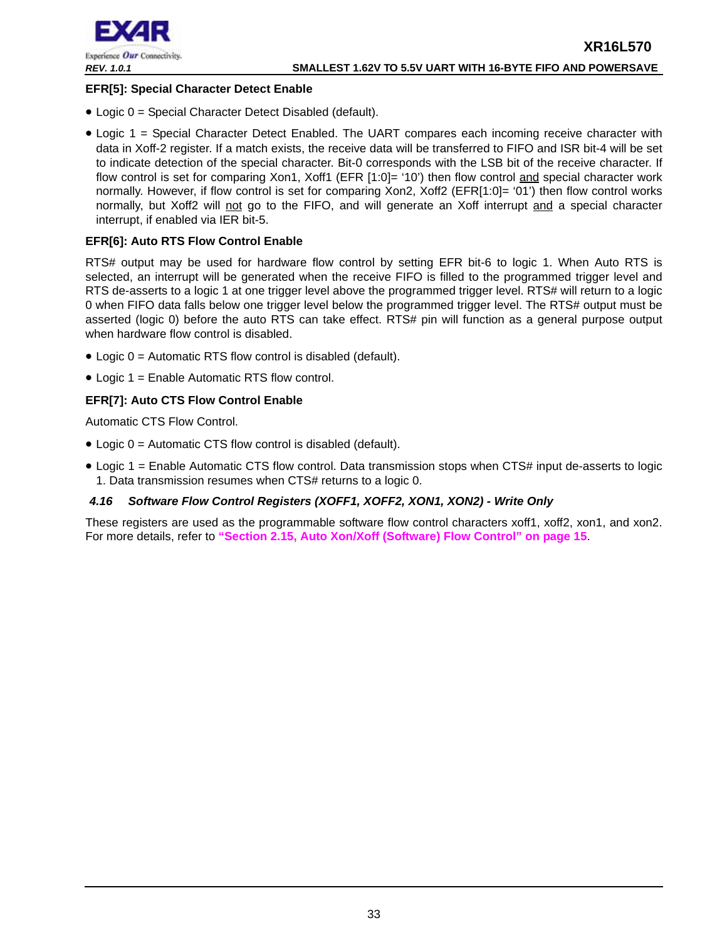

## **EFR[5]: Special Character Detect Enable**

- Logic 0 = Special Character Detect Disabled (default).
- Logic 1 = Special Character Detect Enabled. The UART compares each incoming receive character with data in Xoff-2 register. If a match exists, the receive data will be transferred to FIFO and ISR bit-4 will be set to indicate detection of the special character. Bit-0 corresponds with the LSB bit of the receive character. If flow control is set for comparing Xon1, Xoff1 (EFR [1:0]= '10') then flow control and special character work normally. However, if flow control is set for comparing Xon2, Xoff2 (EFR[1:0]= '01') then flow control works normally, but Xoff2 will not go to the FIFO, and will generate an Xoff interrupt and a special character interrupt, if enabled via IER bit-5.

## **EFR[6]: Auto RTS Flow Control Enable**

RTS# output may be used for hardware flow control by setting EFR bit-6 to logic 1. When Auto RTS is selected, an interrupt will be generated when the receive FIFO is filled to the programmed trigger level and RTS de-asserts to a logic 1 at one trigger level above the programmed trigger level. RTS# will return to a logic 0 when FIFO data falls below one trigger level below the programmed trigger level. The RTS# output must be asserted (logic 0) before the auto RTS can take effect. RTS# pin will function as a general purpose output when hardware flow control is disabled.

- Logic 0 = Automatic RTS flow control is disabled (default).
- Logic 1 = Enable Automatic RTS flow control.

## **EFR[7]: Auto CTS Flow Control Enable**

Automatic CTS Flow Control.

- Logic 0 = Automatic CTS flow control is disabled (default).
- Logic 1 = Enable Automatic CTS flow control. Data transmission stops when CTS# input de-asserts to logic 1. Data transmission resumes when CTS# returns to a logic 0.

## <span id="page-32-0"></span>*4.16 Software Flow Control Registers (XOFF1, XOFF2, XON1, XON2) - Write Only*

These registers are used as the programmable software flow control characters xoff1, xoff2, xon1, and xon2. For more details, refer to **["Section 2.15, Auto Xon/Xoff \(Software\) Flow Control" on page](#page-14-0) 15**.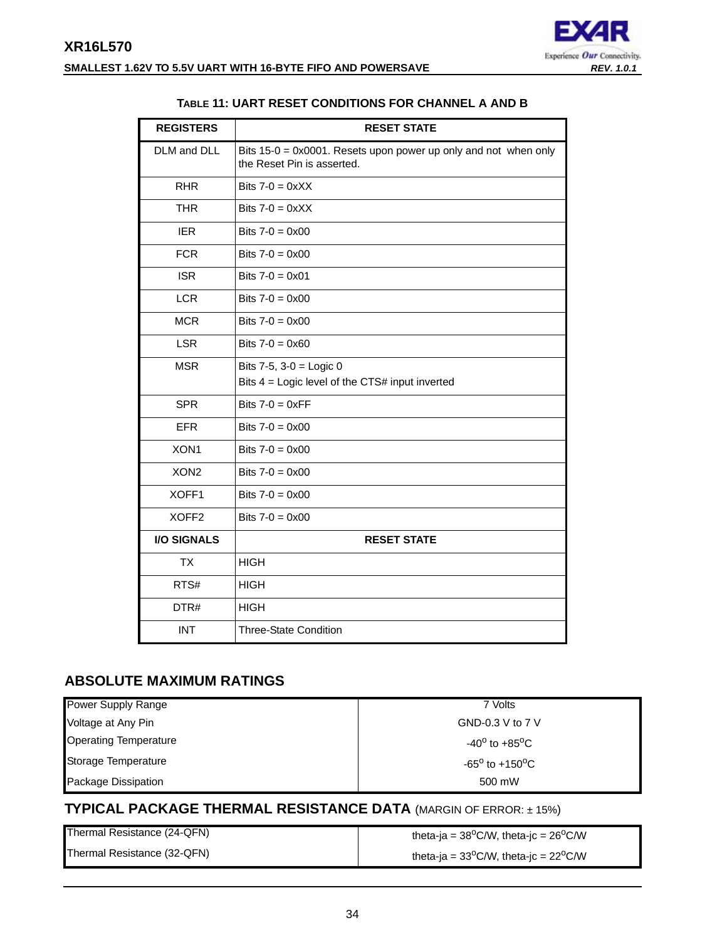

## **TABLE 11: UART RESET CONDITIONS FOR CHANNEL A AND B**

<span id="page-33-0"></span>

| <b>REGISTERS</b>   | <b>RESET STATE</b>                                                                                      |
|--------------------|---------------------------------------------------------------------------------------------------------|
| DLM and DLL        | Bits $15-0 = 0 \times 0001$ . Resets upon power up only and not when only<br>the Reset Pin is asserted. |
| <b>RHR</b>         | Bits $7-0 = 0 \times X$                                                                                 |
| <b>THR</b>         | Bits $7-0 = 0 \times X$                                                                                 |
| <b>IER</b>         | Bits $7-0 = 0 \times 00$                                                                                |
| <b>FCR</b>         | Bits $7 - 0 = 0 \times 00$                                                                              |
| <b>ISR</b>         | Bits $7-0 = 0 \times 01$                                                                                |
| <b>LCR</b>         | Bits $7-0 = 0 \times 00$                                                                                |
| <b>MCR</b>         | Bits $7-0 = 0 \times 00$                                                                                |
| <b>LSR</b>         | Bits $7-0 = 0 \times 60$                                                                                |
| <b>MSR</b>         | Bits $7-5$ , $3-0 =$ Logic 0<br>Bits $4 =$ Logic level of the CTS# input inverted                       |
|                    |                                                                                                         |
| <b>SPR</b>         | Bits $7-0 = 0 \times FF$                                                                                |
| <b>EFR</b>         | Bits $7-0 = 0 \times 00$                                                                                |
| XON1               | Bits $7-0 = 0 \times 00$                                                                                |
| XON <sub>2</sub>   | Bits $7-0 = 0 \times 00$                                                                                |
| XOFF1              | Bits $7 - 0 = 0 \times 00$                                                                              |
| XOFF <sub>2</sub>  | Bits $7-0 = 0 \times 00$                                                                                |
| <b>I/O SIGNALS</b> | <b>RESET STATE</b>                                                                                      |
| <b>TX</b>          | <b>HIGH</b>                                                                                             |
| RTS#               | <b>HIGH</b>                                                                                             |
| DTR#               | <b>HIGH</b>                                                                                             |
| <b>INT</b>         | <b>Three-State Condition</b>                                                                            |

## <span id="page-33-1"></span>**ABSOLUTE MAXIMUM RATINGS**

| Power Supply Range           | 7 Volts                              |
|------------------------------|--------------------------------------|
| Voltage at Any Pin           | GND-0.3 V to $7V$                    |
| <b>Operating Temperature</b> | -40 $^{\rm o}$ to +85 $^{\rm o}$ C . |
| Storage Temperature          | $-65^{\circ}$ to $+150^{\circ}$ C    |
| <b>Package Dissipation</b>   | 500 mW                               |

## <span id="page-33-2"></span>**TYPICAL PACKAGE THERMAL RESISTANCE DATA** (MARGIN OF ERROR: ± 15%)

| Thermal Resistance (24-QFN) | theta-ja = $38^{\circ}$ C/W, theta-jc = $26^{\circ}$ C/W |
|-----------------------------|----------------------------------------------------------|
| Thermal Resistance (32-QFN) | theta-ja = $33^{\circ}$ C/W, theta-jc = $22^{\circ}$ C/W |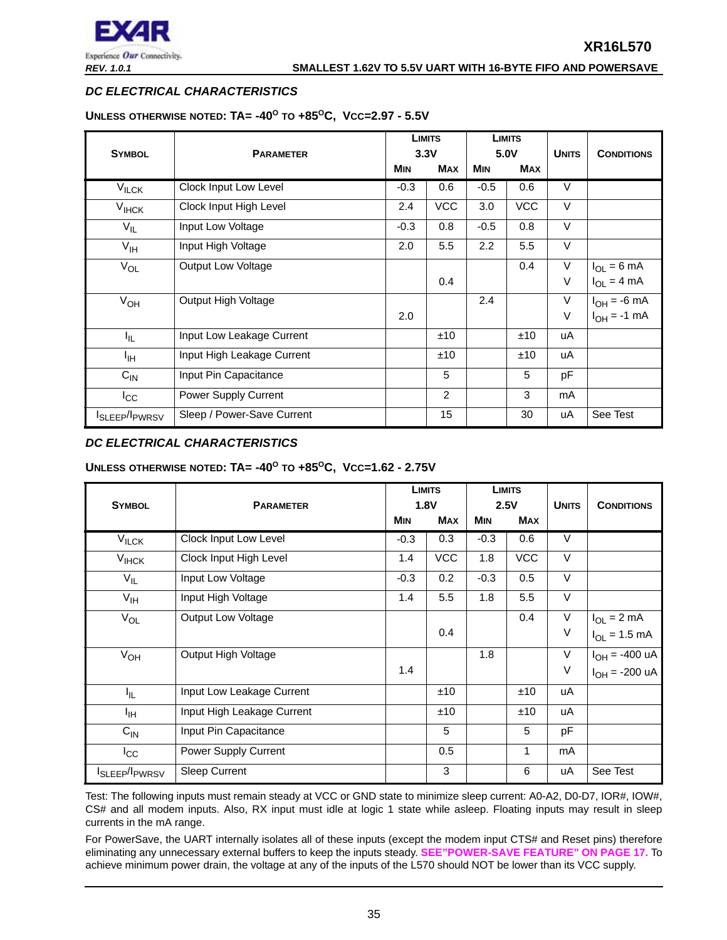

#### *REV. 1.0.1* **SMALLEST 1.62V TO 5.5V UART WITH 16-BYTE FIFO AND POWERSAVE**

## <span id="page-34-0"></span>*DC ELECTRICAL CHARACTERISTICS*

#### **UNLESS OTHERWISE NOTED: TA= -40O TO +85OC, VCC=2.97 - 5.5V**

|                                        |                            |            | <b>LIMITS</b> |            | <b>LIMITS</b> |              |                   |
|----------------------------------------|----------------------------|------------|---------------|------------|---------------|--------------|-------------------|
| <b>SYMBOL</b>                          | <b>PARAMETER</b>           | 3.3V       |               | 5.0V       |               | <b>UNITS</b> | <b>CONDITIONS</b> |
|                                        |                            | <b>MIN</b> | <b>MAX</b>    | <b>MIN</b> | <b>MAX</b>    |              |                   |
| $\overline{V}_{\text{ILCK}}$           | Clock Input Low Level      | $-0.3$     | 0.6           | $-0.5$     | 0.6           | $\vee$       |                   |
| $V_{IHCK}$                             | Clock Input High Level     | 2.4        | <b>VCC</b>    | 3.0        | <b>VCC</b>    | $\vee$       |                   |
| $V_{IL}$                               | Input Low Voltage          | $-0.3$     | 0.8           | $-0.5$     | 0.8           | $\vee$       |                   |
| $V_{\text{IH}}$                        | Input High Voltage         | 2.0        | 5.5           | 2.2        | 5.5           | $\vee$       |                   |
| $V_{OL}$                               | Output Low Voltage         |            |               |            | 0.4           | $\vee$       | $I_{OL} = 6$ mA   |
|                                        |                            |            | 0.4           |            |               | V            | $I_{OL} = 4 mA$   |
| $V_{OH}$                               | Output High Voltage        |            |               | 2.4        |               | $\vee$       | $I_{OH} = -6$ mA  |
|                                        |                            | 2.0        |               |            |               | V            | $I_{OH} = -1$ mA  |
| Ι'n.                                   | Input Low Leakage Current  |            | ±10           |            | ±10           | uA           |                   |
| ŀщ                                     | Input High Leakage Current |            | ±10           |            | ±10           | uA           |                   |
| $C_{IN}$                               | Input Pin Capacitance      |            | 5             |            | 5             | рF           |                   |
| $I_{\rm CC}$                           | Power Supply Current       |            | 2             |            | 3             | mA           |                   |
| I <sub>SLEEP</sub> /I <sub>PWRSV</sub> | Sleep / Power-Save Current |            | 15            |            | 30            | uA           | See Test          |

## <span id="page-34-1"></span>*DC ELECTRICAL CHARACTERISTICS*

## **UNLESS OTHERWISE NOTED: TA= -40O TO +85OC, VCC=1.62 - 2.75V**

|                                        |                            |        | <b>LIMITS</b> |            | <b>LIMITS</b>        |        |                            |
|----------------------------------------|----------------------------|--------|---------------|------------|----------------------|--------|----------------------------|
| <b>SYMBOL</b>                          | <b>PARAMETER</b>           |        | 1.8V          |            | 2.5V<br><b>UNITS</b> |        | <b>CONDITIONS</b>          |
|                                        |                            | MIN    | <b>MAX</b>    | <b>MIN</b> | <b>MAX</b>           |        |                            |
| $V_{ILCK}$                             | Clock Input Low Level      | $-0.3$ | 0.3           | $-0.3$     | 0.6                  | $\vee$ |                            |
| <b>V<sub>IHCK</sub></b>                | Clock Input High Level     | 1.4    | <b>VCC</b>    | 1.8        | <b>VCC</b>           | $\vee$ |                            |
| $V_{IL}$                               | Input Low Voltage          | $-0.3$ | 0.2           | $-0.3$     | 0.5                  | $\vee$ |                            |
| $V_{\text{IH}}$                        | Input High Voltage         | 1.4    | 5.5           | 1.8        | 5.5                  | $\vee$ |                            |
| $V_{OL}$                               | Output Low Voltage         |        |               |            | 0.4                  | $\vee$ | $I_{OL} = 2 mA$            |
|                                        |                            |        | 0.4           |            |                      | V      | $I_{OL} = 1.5$ mA          |
| $V_{OH}$                               | Output High Voltage        |        |               | 1.8        |                      | $\vee$ | $I_{OH} = -400 \text{ uA}$ |
|                                        |                            | 1.4    |               |            |                      | $\vee$ | $I_{OH} = -200 \text{ uA}$ |
| I <sub>IL</sub>                        | Input Low Leakage Current  |        | ±10           |            | ±10                  | uA     |                            |
| ŀщ                                     | Input High Leakage Current |        | ±10           |            | ±10                  | uA     |                            |
| $C_{IN}$                               | Input Pin Capacitance      |        | 5             |            | 5                    | pF     |                            |
| $I_{\rm CC}$                           | Power Supply Current       |        | 0.5           |            | 1                    | mA     |                            |
| I <sub>SLEEP</sub> /I <sub>PWRSV</sub> | <b>Sleep Current</b>       |        | 3             |            | 6                    | uA     | See Test                   |

Test: The following inputs must remain steady at VCC or GND state to minimize sleep current: A0-A2, D0-D7, IOR#, IOW#, CS# and all modem inputs. Also, RX input must idle at logic 1 state while asleep. Floating inputs may result in sleep currents in the mA range.

For PowerSave, the UART internally isolates all of these inputs (except the modem input CTS# and Reset pins) therefore eliminating any unnecessary external buffers to keep the inputs steady. **[SEE"POWER-SAVE FEATURE" ON PAGE](#page-16-0) 17.** To achieve minimum power drain, the voltage at any of the inputs of the L570 should NOT be lower than its VCC supply.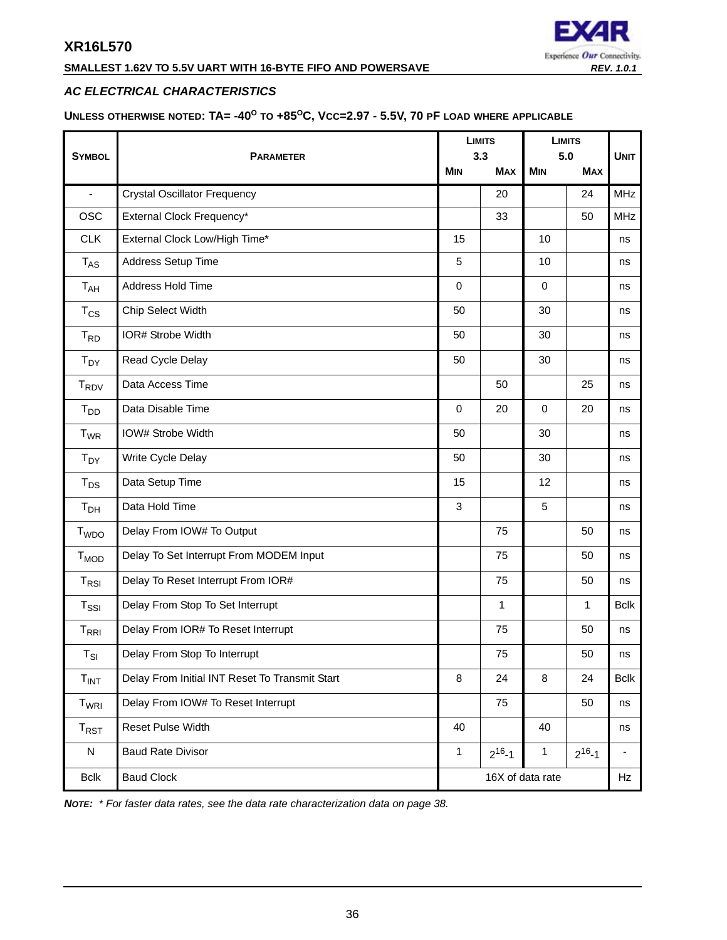## **SMALLEST 1.62V TO 5.5V UART WITH 16-BYTE FIFO AND POWERSAVE** *REV. 1.0.1*

## EXZE Experience Our Connectivity.

## <span id="page-35-0"></span>*AC ELECTRICAL CHARACTERISTICS*

<span id="page-35-1"></span>**UNLESS OTHERWISE NOTED: TA= -40O TO +85OC, VCC=2.97 - 5.5V, 70 PF LOAD WHERE APPLICABLE**

|                            |                                                |                  | <b>LIMITS</b> | <b>LIMITS</b> |              |             |
|----------------------------|------------------------------------------------|------------------|---------------|---------------|--------------|-------------|
| <b>SYMBOL</b>              | <b>PARAMETER</b>                               | 3.3              |               | 5.0           |              | <b>UNIT</b> |
|                            |                                                | <b>MIN</b>       | <b>MAX</b>    | <b>MIN</b>    | <b>MAX</b>   |             |
| $\blacksquare$             | <b>Crystal Oscillator Frequency</b>            |                  | 20            |               | 24           | <b>MHz</b>  |
| <b>OSC</b>                 | External Clock Frequency*                      |                  | 33            |               | 50           | <b>MHz</b>  |
| <b>CLK</b>                 | External Clock Low/High Time*                  | 15               |               | 10            |              | ns          |
| $T_{AS}$                   | Address Setup Time                             | 5                |               | 10            |              | ns          |
| T <sub>AH</sub>            | Address Hold Time                              | $\mathbf 0$      |               | $\mathbf 0$   |              | ns          |
| $T_{CS}$                   | Chip Select Width                              | 50               |               | 30            |              | ns          |
| $T_{RD}$                   | IOR# Strobe Width                              | 50               |               | 30            |              | ns          |
| $T_{DY}$                   | Read Cycle Delay                               | 50               |               | 30            |              | ns          |
| <b>T<sub>RDV</sub></b>     | Data Access Time                               |                  | 50            |               | 25           | ns          |
| $T_{DD}$                   | Data Disable Time                              | $\mathbf 0$      | 20            | $\Omega$      | 20           | ns          |
| $T_{WR}$                   | IOW# Strobe Width                              | 50               |               | 30            |              | ns          |
| $T_{DY}$                   | Write Cycle Delay                              | 50               |               | 30            |              | ns          |
| $T_{DS}$                   | Data Setup Time                                | 15               |               | 12            |              | ns          |
| T <sub>DH</sub>            | Data Hold Time                                 | 3                |               | 5             |              | ns          |
| T <sub>WDO</sub>           | Delay From IOW# To Output                      |                  | 75            |               | 50           | ns          |
| $T_{MOD}$                  | Delay To Set Interrupt From MODEM Input        |                  | 75            |               | 50           | ns          |
| $T_{RSI}$                  | Delay To Reset Interrupt From IOR#             |                  | 75            |               | 50           | ns          |
| $T_{\rm SSI}$              | Delay From Stop To Set Interrupt               |                  | $\mathbf{1}$  |               | $\mathbf{1}$ | <b>Bclk</b> |
| $T_{\rm RRI}$              | Delay From IOR# To Reset Interrupt             |                  | 75            |               | 50           | ns          |
| $\mathsf{T}_{\mathsf{SI}}$ | Delay From Stop To Interrupt                   |                  | 75            |               | 50           | ns          |
| $T_{INT}$                  | Delay From Initial INT Reset To Transmit Start | 8                | 24            | 8             | 24           | <b>Bclk</b> |
| T <sub>WRI</sub>           | Delay From IOW# To Reset Interrupt             |                  | 75            |               | 50           | ns          |
| $T_{RST}$                  | Reset Pulse Width                              | 40               |               | 40            |              | ns          |
| ${\sf N}$                  | <b>Baud Rate Divisor</b>                       | $\mathbf{1}$     | $2^{16} - 1$  | $\mathbf{1}$  | $2^{16} - 1$ |             |
| <b>Bclk</b>                | <b>Baud Clock</b>                              | 16X of data rate |               |               | Hz           |             |

*NOTE: \* For faster data rates, see the data rate characterization data on [page](#page-37-0) 38.*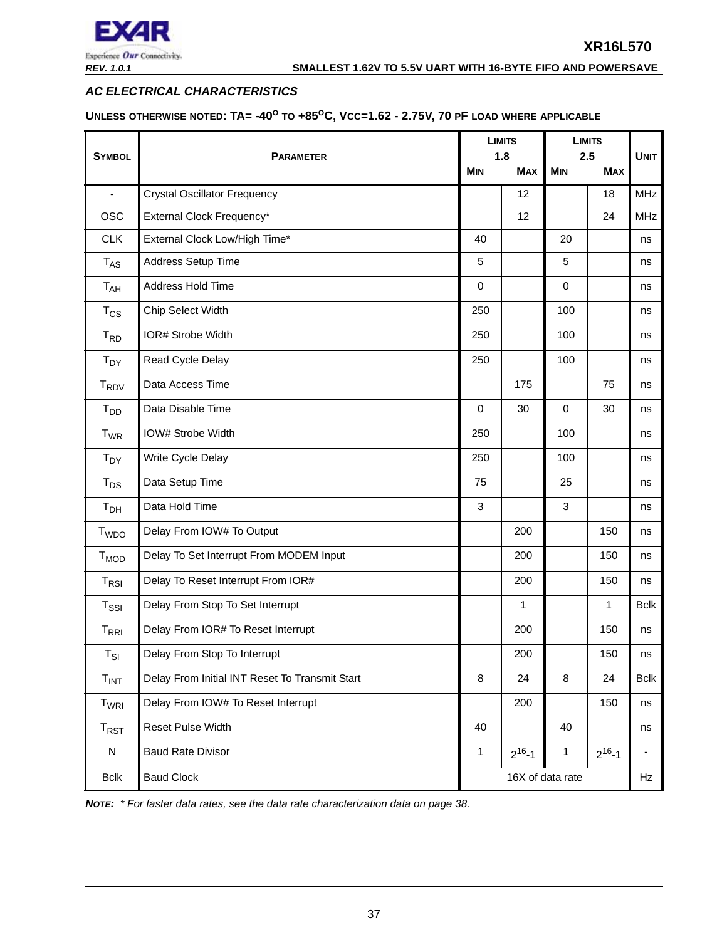

## <span id="page-36-0"></span>*AC ELECTRICAL CHARACTERISTICS*

<span id="page-36-1"></span>**UNLESS OTHERWISE NOTED: TA= -40O TO +85OC, VCC=1.62 - 2.75V, 70 PF LOAD WHERE APPLICABLE**

|                    |                                                |             | <b>LIMITS</b><br>1.8 | <b>LIMITS</b><br>2.5 |              | <b>UNIT</b>              |
|--------------------|------------------------------------------------|-------------|----------------------|----------------------|--------------|--------------------------|
| <b>SYMBOL</b>      | <b>PARAMETER</b>                               | <b>MIN</b>  | <b>MAX</b>           | <b>MIN</b>           | <b>MAX</b>   |                          |
| $\blacksquare$     | <b>Crystal Oscillator Frequency</b>            |             | 12                   |                      | 18           | <b>MHz</b>               |
| <b>OSC</b>         | External Clock Frequency*                      |             | 12                   |                      | 24           | <b>MHz</b>               |
| <b>CLK</b>         | External Clock Low/High Time*                  | 40          |                      | 20                   |              | ns                       |
| $T_{AS}$           | Address Setup Time                             | 5           |                      | 5                    |              | ns                       |
| T <sub>AH</sub>    | Address Hold Time                              | $\mathbf 0$ |                      | $\mathbf 0$          |              | ns                       |
| $T_{CS}$           | Chip Select Width                              | 250         |                      | 100                  |              | ns                       |
| $T_{RD}$           | IOR# Strobe Width                              | 250         |                      | 100                  |              | ns                       |
| $T_{DY}$           | Read Cycle Delay                               | 250         |                      | 100                  |              | ns                       |
| $T_{\mathsf{RDV}}$ | Data Access Time                               |             | 175                  |                      | 75           | ns                       |
| $T_{DD}$           | Data Disable Time                              | $\mathbf 0$ | 30                   | $\mathbf 0$          | 30           | ns                       |
| $T_{WR}$           | IOW# Strobe Width                              | 250         |                      | 100                  |              | ns                       |
| $T_{DY}$           | Write Cycle Delay                              | 250         |                      | 100                  |              | ns                       |
| $T_{DS}$           | Data Setup Time                                | 75          |                      | 25                   |              | ns                       |
| T <sub>DH</sub>    | Data Hold Time                                 | 3           |                      | 3                    |              | ns                       |
| T <sub>WDO</sub>   | Delay From IOW# To Output                      |             | 200                  |                      | 150          | ns                       |
| $T_{MOD}$          | Delay To Set Interrupt From MODEM Input        |             | 200                  |                      | 150          | ns                       |
| $T_{RSI}$          | Delay To Reset Interrupt From IOR#             |             | 200                  |                      | 150          | ns                       |
| $T_{\rm SSI}$      | Delay From Stop To Set Interrupt               |             | $\mathbf{1}$         |                      | 1            | <b>Bclk</b>              |
| $T_{\sf RRI}$      | Delay From IOR# To Reset Interrupt             |             | 200                  |                      | 150          | ns                       |
| $T_{SI}$           | Delay From Stop To Interrupt                   |             | 200                  |                      | 150          | ns                       |
| $T_{INT}$          | Delay From Initial INT Reset To Transmit Start | 8           | 24                   | 8                    | 24           | <b>Bclk</b>              |
| T <sub>WRI</sub>   | Delay From IOW# To Reset Interrupt             |             | 200                  |                      | 150          | ns                       |
| $T_{RST}$          | Reset Pulse Width                              | 40          |                      | 40                   |              | ns                       |
| ${\sf N}$          | <b>Baud Rate Divisor</b>                       | 1           | $2^{16} - 1$         | $\mathbf{1}$         | $2^{16} - 1$ | $\overline{\phantom{a}}$ |
| <b>Bclk</b>        | <b>Baud Clock</b>                              |             |                      | 16X of data rate     |              | Hz                       |

*NOTE: \* For faster data rates, see the data rate characterization data on [page](#page-37-0) 38.*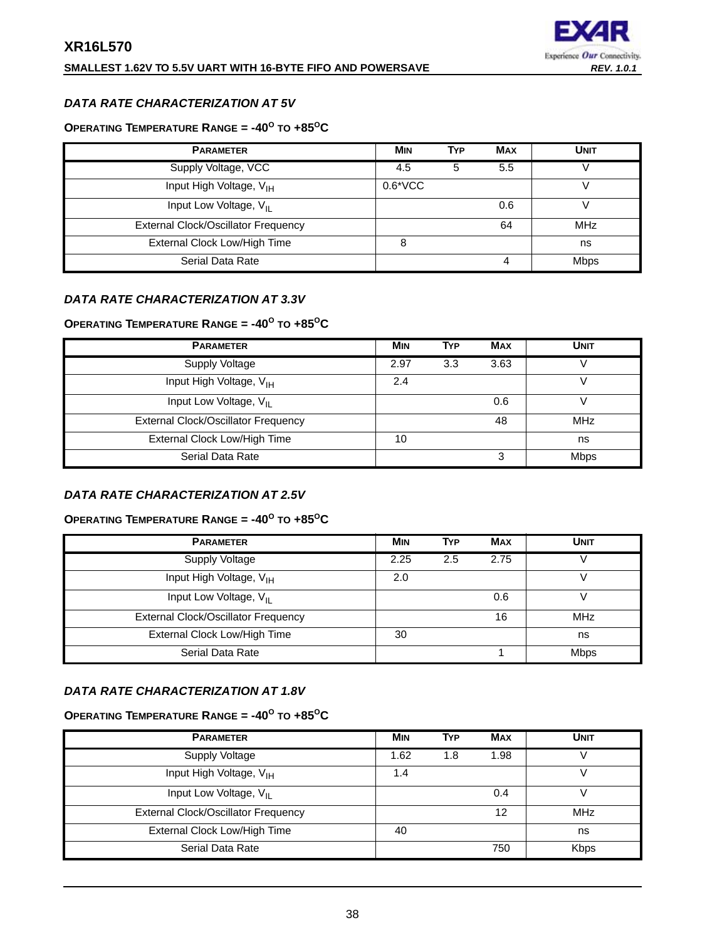## **SMALLEST 1.62V TO 5.5V UART WITH 16-BYTE FIFO AND POWERSAVE** *REV. 1.0.1*



## <span id="page-37-0"></span>*DATA RATE CHARACTERIZATION AT 5V*

## <span id="page-37-1"></span>**OPERATING TEMPERATURE RANGE = -40<sup>O</sup> TO +85OC**

| <b>PARAMETER</b>                           | <b>MIN</b> | <b>TYP</b> | <b>MAX</b> | UNIT        |
|--------------------------------------------|------------|------------|------------|-------------|
| Supply Voltage, VCC                        | 4.5        | 5          | 5.5        |             |
| Input High Voltage, V <sub>IH</sub>        | $0.6*VCC$  |            |            |             |
| Input Low Voltage, V <sub>II</sub>         |            |            | 0.6        |             |
| <b>External Clock/Oscillator Frequency</b> |            |            | 64         | <b>MHz</b>  |
| External Clock Low/High Time               | 8          |            |            | ns          |
| Serial Data Rate                           |            |            | 4          | <b>Mbps</b> |

## <span id="page-37-2"></span>*DATA RATE CHARACTERIZATION AT 3.3V*

## <span id="page-37-3"></span>**OPERATING TEMPERATURE RANGE = -40<sup>O</sup> TO +85OC**

| <b>PARAMETER</b>                           | <b>MIN</b> | <b>TYP</b> | <b>MAX</b> | <b>UNIT</b> |
|--------------------------------------------|------------|------------|------------|-------------|
| Supply Voltage                             | 2.97       | 3.3        | 3.63       |             |
| Input High Voltage, V <sub>IH</sub>        | 2.4        |            |            |             |
| Input Low Voltage, V <sub>II</sub>         |            |            | 0.6        |             |
| <b>External Clock/Oscillator Frequency</b> |            |            | 48         | <b>MHz</b>  |
| External Clock Low/High Time               | 10         |            |            | ns          |
| Serial Data Rate                           |            |            | 3          | <b>Mbps</b> |

## <span id="page-37-4"></span>*DATA RATE CHARACTERIZATION AT 2.5V*

## <span id="page-37-5"></span>**OPERATING TEMPERATURE RANGE = -40<sup>O</sup> TO +85OC**

| <b>PARAMETER</b>                           | <b>MIN</b> | <b>TYP</b> | <b>MAX</b> | UNIT        |
|--------------------------------------------|------------|------------|------------|-------------|
| Supply Voltage                             | 2.25       | 2.5        | 2.75       |             |
| Input High Voltage, V <sub>IH</sub>        | 2.0        |            |            |             |
| Input Low Voltage, V <sub>II</sub>         |            |            | 0.6        |             |
| <b>External Clock/Oscillator Frequency</b> |            |            | 16         | <b>MHz</b>  |
| External Clock Low/High Time               | 30         |            |            | ns          |
| Serial Data Rate                           |            |            |            | <b>Mbps</b> |

## <span id="page-37-6"></span>*DATA RATE CHARACTERIZATION AT 1.8V*

## <span id="page-37-7"></span>**OPERATING TEMPERATURE RANGE = -40<sup>O</sup> TO +85OC**

| <b>PARAMETER</b>                           | <b>MIN</b> | <b>TYP</b> | <b>MAX</b> | <b>UNIT</b> |
|--------------------------------------------|------------|------------|------------|-------------|
| Supply Voltage                             | 1.62       | 1.8        | 1.98       |             |
| Input High Voltage, V <sub>IH</sub>        | 1.4        |            |            |             |
| Input Low Voltage, V <sub>II</sub>         |            |            | 0.4        |             |
| <b>External Clock/Oscillator Frequency</b> |            |            | 12         | <b>MHz</b>  |
| External Clock Low/High Time               | 40         |            |            | ns          |
| Serial Data Rate                           |            |            | 750        | <b>Kbps</b> |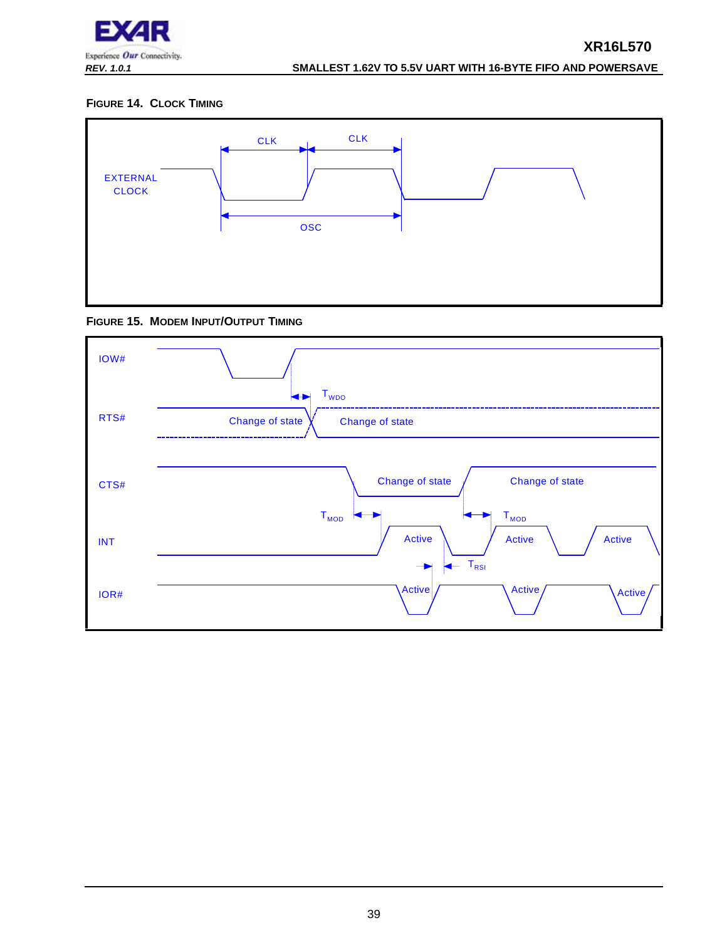

## <span id="page-38-0"></span>**FIGURE 14. CLOCK TIMING**



<span id="page-38-1"></span>

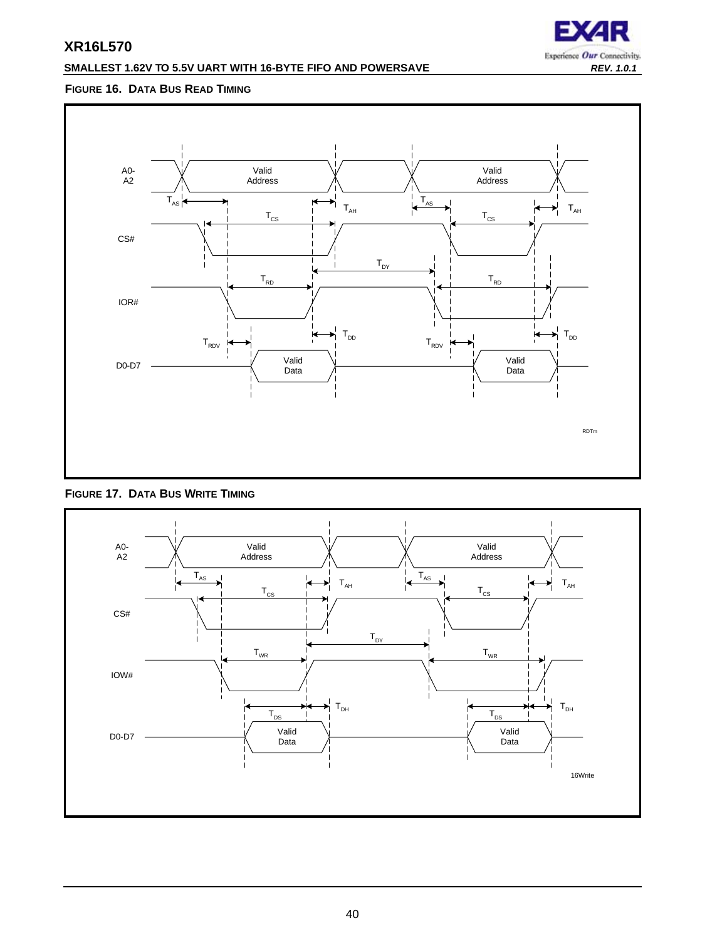## **SMALLEST 1.62V TO 5.5V UART WITH 16-BYTE FIFO AND POWERSAVE** *REV. 1.0.1*



## <span id="page-39-0"></span>**FIGURE 16. DATA BUS READ TIMING**



<span id="page-39-1"></span>

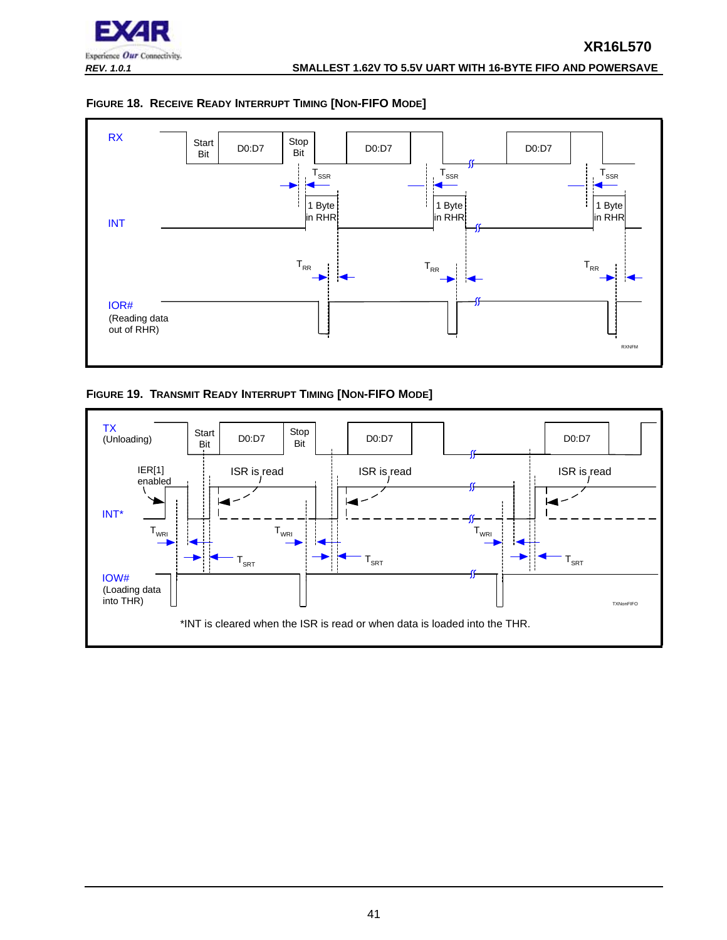

<span id="page-40-0"></span>



<span id="page-40-1"></span>**FIGURE 19. TRANSMIT READY INTERRUPT TIMING [NON-FIFO MODE]**

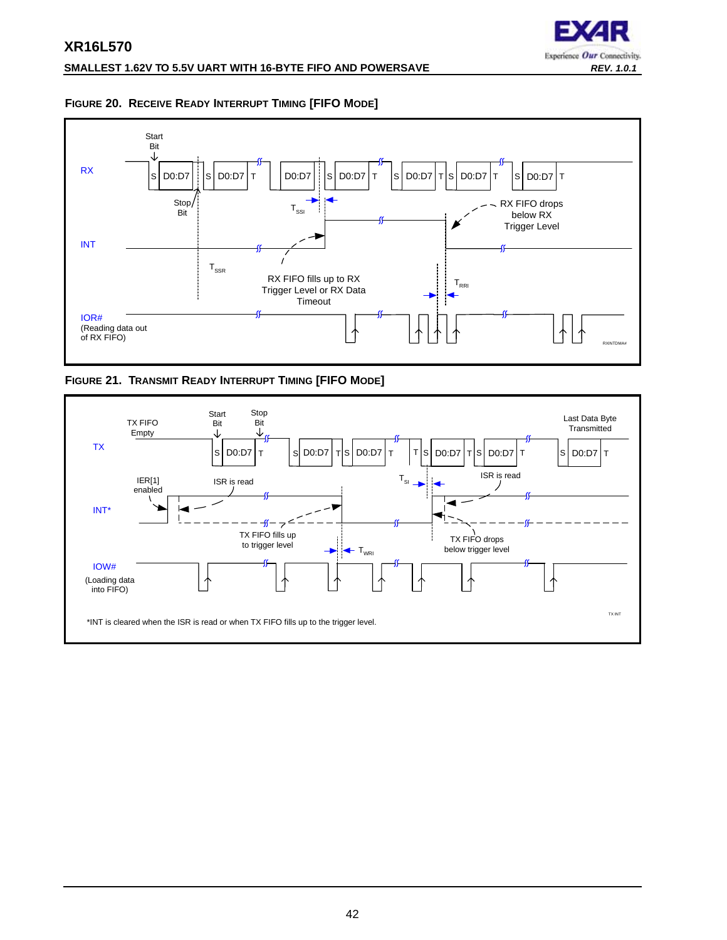

## <span id="page-41-1"></span>**FIGURE 20. RECEIVE READY INTERRUPT TIMING [FIFO MODE]**



<span id="page-41-0"></span>**FIGURE 21. TRANSMIT READY INTERRUPT TIMING [FIFO MODE]**

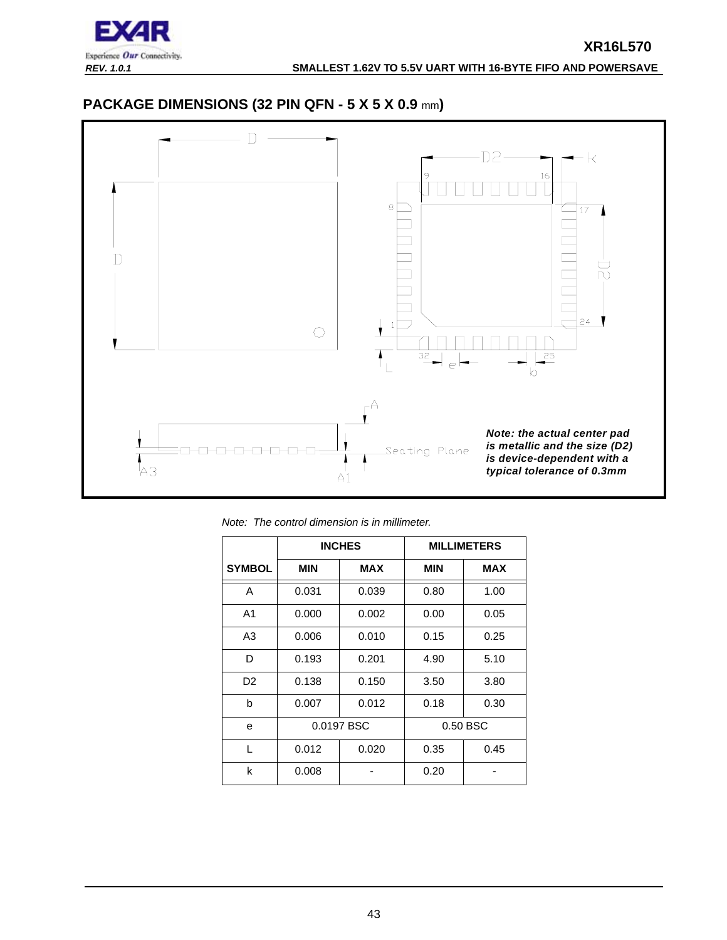

## <span id="page-42-0"></span>**PACKAGE DIMENSIONS (32 PIN QFN - 5 X 5 X 0.9** mm**)**



*Note: The control dimension is in millimeter.*

|                |            | <b>INCHES</b> |            | <b>MILLIMETERS</b> |
|----------------|------------|---------------|------------|--------------------|
| <b>SYMBOL</b>  | <b>MIN</b> | <b>MAX</b>    | <b>MIN</b> | <b>MAX</b>         |
| A              | 0.031      | 0.039         | 0.80       | 1.00               |
| A <sub>1</sub> | 0.000      | 0.002         | 0.00       | 0.05               |
| A <sub>3</sub> | 0.006      | 0.010         | 0.15       | 0.25               |
| D              | 0.193      | 0.201         | 4.90       | 5.10               |
| D <sub>2</sub> | 0.138      | 0.150         | 3.50       | 3.80               |
| b              | 0.007      | 0.012         | 0.18       | 0.30               |
| e              | 0.0197 BSC |               |            | 0.50 BSC           |
| $\mathbf{L}$   | 0.012      | 0.020         | 0.35       | 0.45               |
| k              | 0.008      |               | 0.20       |                    |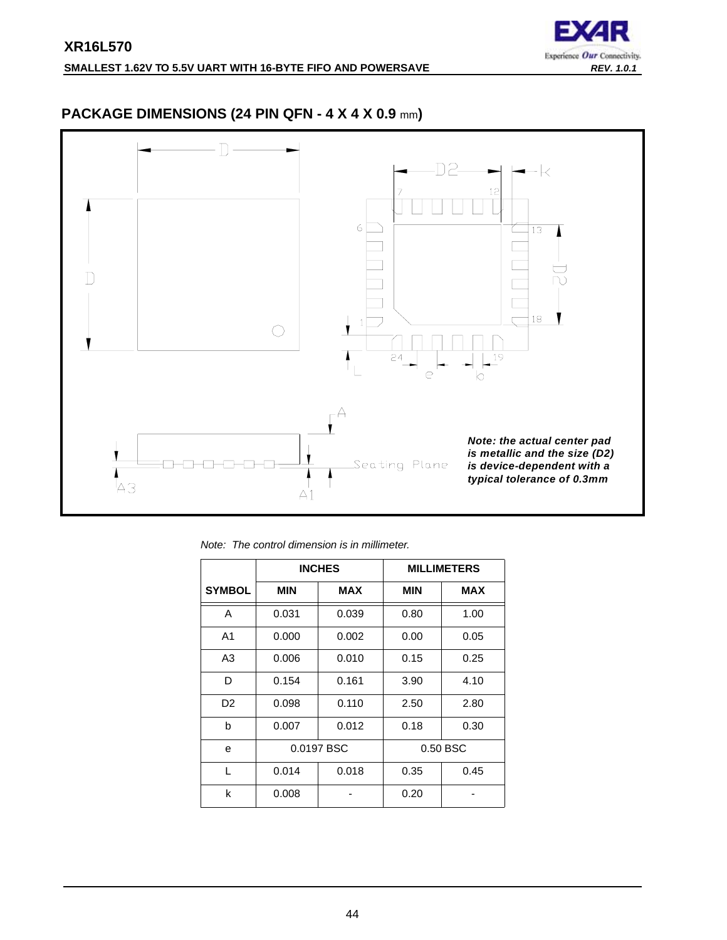

## <span id="page-43-0"></span>**PACKAGE DIMENSIONS (24 PIN QFN - 4 X 4 X 0.9** mm**)**



*Note: The control dimension is in millimeter.*

|                |            | <b>INCHES</b> |            | <b>MILLIMETERS</b> |
|----------------|------------|---------------|------------|--------------------|
| <b>SYMBOL</b>  | <b>MIN</b> | <b>MAX</b>    | <b>MIN</b> | MAX                |
| A              | 0.031      | 0.039         | 0.80       | 1.00               |
| A <sub>1</sub> | 0.000      | 0.002         | 0.00       | 0.05               |
| A <sub>3</sub> | 0.006      | 0.010         | 0.15       | 0.25               |
| D              | 0.154      | 0.161         | 3.90       | 4.10               |
| D <sub>2</sub> | 0.098      | 0.110         | 2.50       | 2.80               |
| b              | 0.007      | 0.012         | 0.18       | 0.30               |
| e              | 0.0197 BSC |               |            | 0.50 BSC           |
| L              | 0.014      | 0.018         | 0.35       | 0.45               |
| k              | 0.008      |               | 0.20       |                    |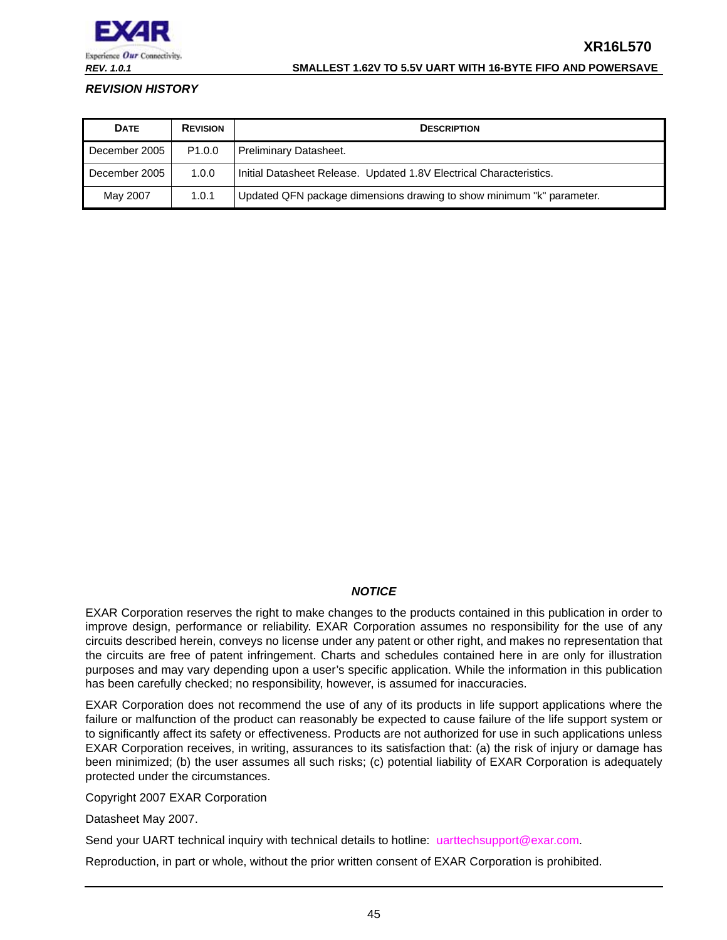

#### *REV. 1.0.1* **SMALLEST 1.62V TO 5.5V UART WITH 16-BYTE FIFO AND POWERSAVE**

## <span id="page-44-0"></span>*REVISION HISTORY*

| <b>DATE</b>   | <b>REVISION</b>    | <b>DESCRIPTION</b>                                                    |
|---------------|--------------------|-----------------------------------------------------------------------|
| December 2005 | P <sub>1.0.0</sub> | <b>Preliminary Datasheet.</b>                                         |
| December 2005 | 1.0.0              | Initial Datasheet Release. Updated 1.8V Electrical Characteristics.   |
| May 2007      | 1.0.1              | Updated QFN package dimensions drawing to show minimum "k" parameter. |

## *NOTICE*

EXAR Corporation reserves the right to make changes to the products contained in this publication in order to improve design, performance or reliability. EXAR Corporation assumes no responsibility for the use of any circuits described herein, conveys no license under any patent or other right, and makes no representation that the circuits are free of patent infringement. Charts and schedules contained here in are only for illustration purposes and may vary depending upon a user's specific application. While the information in this publication has been carefully checked; no responsibility, however, is assumed for inaccuracies.

EXAR Corporation does not recommend the use of any of its products in life support applications where the failure or malfunction of the product can reasonably be expected to cause failure of the life support system or to significantly affect its safety or effectiveness. Products are not authorized for use in such applications unless EXAR Corporation receives, in writing, assurances to its satisfaction that: (a) the risk of injury or damage has been minimized; (b) the user assumes all such risks; (c) potential liability of EXAR Corporation is adequately protected under the circumstances.

Copyright 2007 EXAR Corporation

Datasheet May 2007.

Send your UART technical inquiry with technical details to hotline: uarttechsupport@exar.com.

Reproduction, in part or whole, without the prior written consent of EXAR Corporation is prohibited.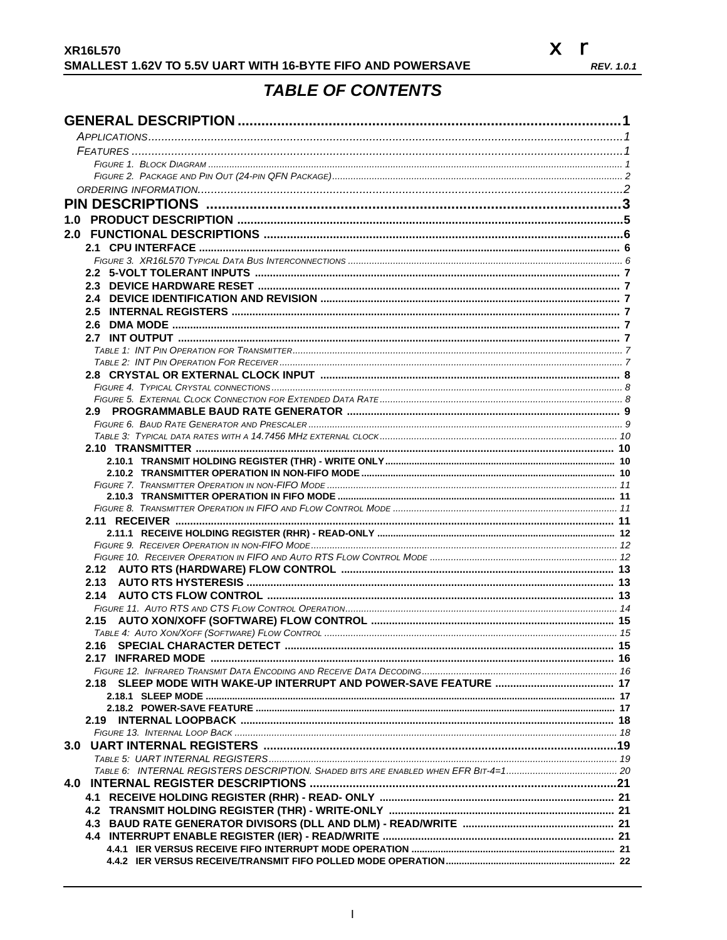

## **TABLE OF CONTENTS**

<span id="page-45-0"></span>

| 1.0  |  |
|------|--|
|      |  |
|      |  |
|      |  |
|      |  |
|      |  |
|      |  |
|      |  |
|      |  |
|      |  |
|      |  |
|      |  |
|      |  |
|      |  |
|      |  |
|      |  |
|      |  |
|      |  |
|      |  |
|      |  |
|      |  |
|      |  |
|      |  |
|      |  |
|      |  |
|      |  |
|      |  |
|      |  |
|      |  |
|      |  |
|      |  |
|      |  |
| 2.16 |  |
|      |  |
|      |  |
|      |  |
|      |  |
|      |  |
|      |  |
|      |  |
|      |  |
|      |  |
|      |  |
|      |  |
|      |  |
|      |  |
|      |  |
|      |  |
|      |  |